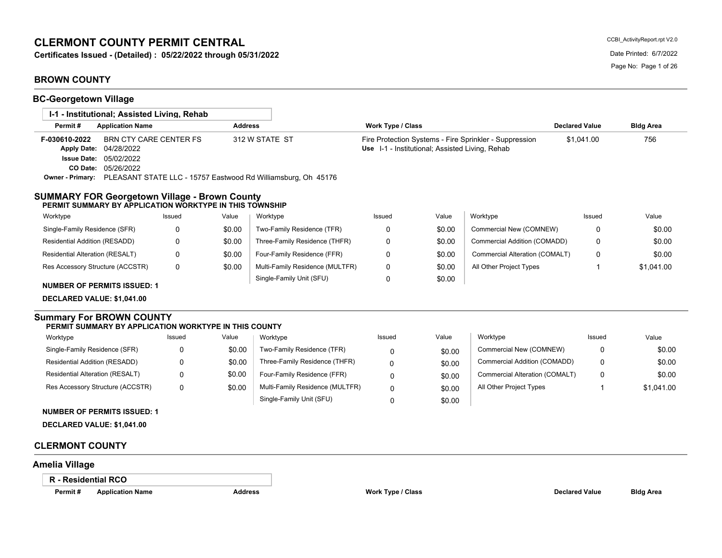# **CLERMONT COUNTY PERMIT CENTRAL**

**Certificates Issued - (Detailed) : 05/22/2022 through 05/31/2022** Date Printed: 6/7/2022

# **BROWN COUNTY**

**BC-Georgetown Village**

| Permit#<br><b>Application Name</b>                                                                                                                                   |          | <b>Address</b> |                                                                                 | <b>Work Type / Class</b>                        |        |                                                        | <b>Declared Value</b> | <b>Bldg Area</b> |
|----------------------------------------------------------------------------------------------------------------------------------------------------------------------|----------|----------------|---------------------------------------------------------------------------------|-------------------------------------------------|--------|--------------------------------------------------------|-----------------------|------------------|
| <b>BRN CTY CARE CENTER FS</b><br>F-030610-2022<br><b>Apply Date:</b><br>04/28/2022<br>05/02/2022<br><b>Issue Date:</b><br>05/26/2022<br>CO Date:<br>Owner - Primary: |          |                | 312 W STATE ST<br>PLEASANT STATE LLC - 15757 Eastwood Rd Williamsburg, Oh 45176 | Use I-1 - Institutional; Assisted Living, Rehab |        | Fire Protection Systems - Fire Sprinkler - Suppression | \$1,041.00            | 756              |
| <b>SUMMARY FOR Georgetown Village - Brown County</b><br>PERMIT SUMMARY BY APPLICATION WORKTYPE IN THIS TOWNSHIP                                                      |          |                |                                                                                 |                                                 |        |                                                        |                       |                  |
| Worktype                                                                                                                                                             | Issued   | Value          | Worktype                                                                        | Issued                                          | Value  | Worktype                                               | Issued                | Value            |
| Single-Family Residence (SFR)                                                                                                                                        | $\Omega$ | \$0.00         | Two-Family Residence (TFR)                                                      | 0                                               | \$0.00 | Commercial New (COMNEW)                                | 0                     | \$0.00           |
| Residential Addition (RESADD)                                                                                                                                        | 0        | \$0.00         | Three-Family Residence (THFR)                                                   | 0                                               | \$0.00 | Commercial Addition (COMADD)                           | 0                     | \$0.00           |
| Residential Alteration (RESALT)                                                                                                                                      | 0        | \$0.00         | Four-Family Residence (FFR)                                                     | 0                                               | \$0.00 | Commercial Alteration (COMALT)                         | 0                     | \$0.00           |
| Res Accessory Structure (ACCSTR)                                                                                                                                     | 0        | \$0.00         | Multi-Family Residence (MULTFR)                                                 | 0                                               | \$0.00 | All Other Project Types                                |                       | \$1,041.00       |
| <b>NUMBER OF PERMITS ISSUED: 1</b>                                                                                                                                   |          |                | Single-Family Unit (SFU)                                                        | 0                                               | \$0.00 |                                                        |                       |                  |
| DECLARED VALUE: \$1,041.00                                                                                                                                           |          |                |                                                                                 |                                                 |        |                                                        |                       |                  |
| <b>Summary For BROWN COUNTY</b><br>PERMIT SUMMARY BY APPLICATION WORKTYPE IN THIS COUNTY                                                                             |          |                |                                                                                 |                                                 |        |                                                        |                       |                  |
| Worktype                                                                                                                                                             | Issued   | Value          | Worktype                                                                        | Issued                                          | Value  | Worktype                                               | Issued                | Value            |
| Single-Family Residence (SFR)                                                                                                                                        | 0        | \$0.00         | Two-Family Residence (TFR)                                                      | $\Omega$                                        | \$0.00 | Commercial New (COMNEW)                                | 0                     | \$0.00           |
| Residential Addition (RESADD)                                                                                                                                        | O        | \$0.00         | Three-Family Residence (THFR)                                                   | 0                                               | \$0.00 | Commercial Addition (COMADD)                           | 0                     | \$0.00           |
| Residential Alteration (RESALT)                                                                                                                                      | 0        | \$0.00         | Four-Family Residence (FFR)                                                     | $\Omega$                                        | \$0.00 | Commercial Alteration (COMALT)                         | 0                     | \$0.00           |
| Res Accessory Structure (ACCSTR)                                                                                                                                     | 0        | \$0.00         | Multi-Family Residence (MULTFR)                                                 | $\Omega$                                        | \$0.00 | All Other Project Types                                | 1                     | \$1,041.00       |
|                                                                                                                                                                      |          |                | Single-Family Unit (SFU)                                                        | $\Omega$                                        | \$0.00 |                                                        |                       |                  |
| <b>NUMBER OF PERMITS ISSUED: 1</b>                                                                                                                                   |          |                |                                                                                 |                                                 |        |                                                        |                       |                  |
| DECLARED VALUE: \$1,041.00                                                                                                                                           |          |                |                                                                                 |                                                 |        |                                                        |                       |                  |
| <b>CLERMONT COUNTY</b>                                                                                                                                               |          |                |                                                                                 |                                                 |        |                                                        |                       |                  |
| Amelia Village                                                                                                                                                       |          |                |                                                                                 |                                                 |        |                                                        |                       |                  |

## **R - Residential RCO**

**Permit # Application Name Address Work Type / Class Declared Value Bldg Area**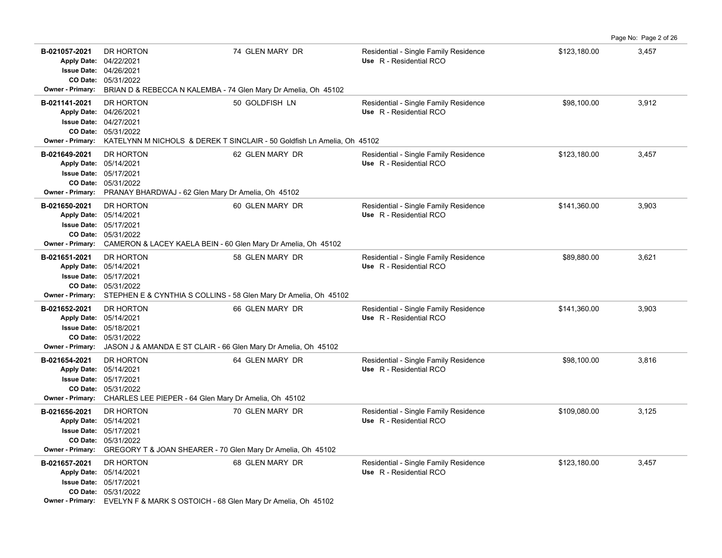| B-021057-2021<br><b>Apply Date:</b><br><b>Owner - Primary:</b>                            | DR HORTON<br>04/22/2021<br><b>Issue Date: 04/26/2021</b><br>CO Date: 05/31/2022<br>BRIAN D & REBECCA N KALEMBA - 74 Glen Mary Dr Amelia, Oh 45102                            | 74 GLEN MARY DR                                                                           | Residential - Single Family Residence<br>Use R - Residential RCO | \$123,180.00 | 3,457 |
|-------------------------------------------------------------------------------------------|------------------------------------------------------------------------------------------------------------------------------------------------------------------------------|-------------------------------------------------------------------------------------------|------------------------------------------------------------------|--------------|-------|
| B-021141-2021<br><b>Issue Date:</b><br>CO Date:<br><b>Owner - Primary:</b>                | DR HORTON<br>Apply Date: 04/26/2021<br>04/27/2021<br>05/31/2022                                                                                                              | 50 GOLDFISH LN<br>KATELYNN M NICHOLS & DEREK T SINCLAIR - 50 Goldfish Ln Amelia, Oh 45102 | Residential - Single Family Residence<br>Use R - Residential RCO | \$98,100.00  | 3,912 |
| B-021649-2021                                                                             | DR HORTON<br>Apply Date: 05/14/2021<br><b>Issue Date: 05/17/2021</b><br>CO Date: 05/31/2022<br><b>Owner - Primary:</b> PRANAY BHARDWAJ - 62 Glen Mary Dr Amelia, Oh 45102    | 62 GLEN MARY DR                                                                           | Residential - Single Family Residence<br>Use R - Residential RCO | \$123,180.00 | 3,457 |
| B-021650-2021<br><b>Apply Date:</b><br>CO Date:<br><b>Owner - Primary:</b>                | DR HORTON<br>05/14/2021<br><b>Issue Date: 05/17/2021</b><br>05/31/2022<br>CAMERON & LACEY KAELA BEIN - 60 Glen Mary Dr Amelia, Oh 45102                                      | 60 GLEN MARY DR                                                                           | Residential - Single Family Residence<br>Use R - Residential RCO | \$141,360.00 | 3,903 |
| B-021651-2021<br><b>Apply Date:</b><br><b>Issue Date:</b><br>CO Date:<br>Owner - Primary: | DR HORTON<br>05/14/2021<br>05/17/2021<br>05/31/2022<br>STEPHEN E & CYNTHIA S COLLINS - 58 Glen Mary Dr Amelia, Oh 45102                                                      | 58 GLEN MARY DR                                                                           | Residential - Single Family Residence<br>Use R - Residential RCO | \$89,880.00  | 3,621 |
| B-021652-2021<br>CO Date:<br><b>Owner - Primary:</b>                                      | DR HORTON<br>Apply Date: 05/14/2021<br><b>Issue Date: 05/18/2021</b><br>05/31/2022<br>JASON J & AMANDA E ST CLAIR - 66 Glen Mary Dr Amelia, Oh 45102                         | 66 GLEN MARY DR                                                                           | Residential - Single Family Residence<br>Use R - Residential RCO | \$141,360.00 | 3,903 |
| B-021654-2021<br>CO Date:<br>Owner - Primary:                                             | DR HORTON<br>Apply Date: 05/14/2021<br><b>Issue Date: 05/17/2021</b><br>05/31/2022<br>CHARLES LEE PIEPER - 64 Glen Mary Dr Amelia, Oh 45102                                  | 64 GLEN MARY DR                                                                           | Residential - Single Family Residence<br>Use R - Residential RCO | \$98,100.00  | 3,816 |
| B-021656-2021<br><b>Apply Date:</b><br><b>Issue Date:</b><br>Owner - Primary:             | DR HORTON<br>05/14/2021<br>05/17/2021<br>CO Date: 05/31/2022<br>GREGORY T & JOAN SHEARER - 70 Glen Mary Dr Amelia, Oh 45102                                                  | 70 GLEN MARY DR                                                                           | Residential - Single Family Residence<br>Use R - Residential RCO | \$109,080.00 | 3,125 |
| B-021657-2021                                                                             | DR HORTON<br>Apply Date: 05/14/2021<br><b>Issue Date: 05/17/2021</b><br>CO Date: 05/31/2022<br>Owner - Primary: EVELYN F & MARK S OSTOICH - 68 Glen Mary Dr Amelia, Oh 45102 | 68 GLEN MARY DR                                                                           | Residential - Single Family Residence<br>Use R - Residential RCO | \$123,180.00 | 3,457 |

Page No: Page 2 of 26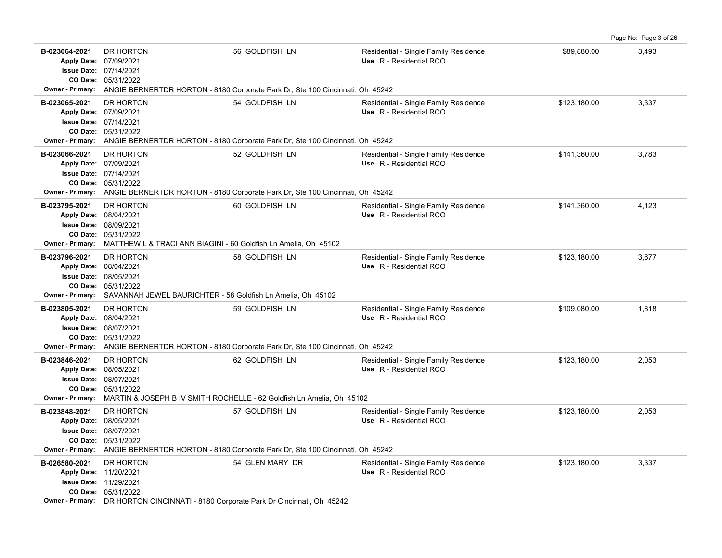| B-023064-2021<br><b>Apply Date:</b><br><b>Owner - Primary:</b>                            | <b>DR HORTON</b><br>07/09/2021<br><b>Issue Date: 07/14/2021</b><br>CO Date: 05/31/2022                                                                                             | 56 GOLDFISH LN<br>ANGIE BERNERTDR HORTON - 8180 Corporate Park Dr, Ste 100 Cincinnati, Oh 45242                  | Residential - Single Family Residence<br>Use R - Residential RCO | \$89.880.00  | 3,493 |
|-------------------------------------------------------------------------------------------|------------------------------------------------------------------------------------------------------------------------------------------------------------------------------------|------------------------------------------------------------------------------------------------------------------|------------------------------------------------------------------|--------------|-------|
| B-023065-2021<br><b>Issue Date:</b><br>CO Date:<br><b>Owner - Primary:</b>                | DR HORTON<br>Apply Date: 07/09/2021<br>07/14/2021<br>05/31/2022                                                                                                                    | 54 GOLDFISH LN<br>ANGIE BERNERTDR HORTON - 8180 Corporate Park Dr, Ste 100 Cincinnati, Oh 45242                  | Residential - Single Family Residence<br>Use R - Residential RCO | \$123,180.00 | 3,337 |
| B-023066-2021                                                                             | DR HORTON<br>Apply Date: 07/09/2021<br><b>Issue Date: 07/14/2021</b><br>CO Date: 05/31/2022                                                                                        | 52 GOLDFISH LN<br>Owner - Primary: ANGIE BERNERTDR HORTON - 8180 Corporate Park Dr, Ste 100 Cincinnati, Oh 45242 | Residential - Single Family Residence<br>Use R - Residential RCO | \$141,360.00 | 3,783 |
| B-023795-2021<br><b>Apply Date:</b><br><b>Owner - Primary:</b>                            | DR HORTON<br>08/04/2021<br><b>Issue Date: 08/09/2021</b><br>CO Date: 05/31/2022<br>MATTHEW L & TRACI ANN BIAGINI - 60 Goldfish Ln Amelia, Oh 45102                                 | 60 GOLDFISH LN                                                                                                   | Residential - Single Family Residence<br>Use R - Residential RCO | \$141,360.00 | 4,123 |
| B-023796-2021<br><b>Apply Date:</b><br><b>Issue Date:</b><br>CO Date:<br>Owner - Primary: | <b>DR HORTON</b><br>08/04/2021<br>08/05/2021<br>05/31/2022<br>SAVANNAH JEWEL BAURICHTER - 58 Goldfish Ln Amelia, Oh 45102                                                          | 58 GOLDFISH LN                                                                                                   | Residential - Single Family Residence<br>Use R - Residential RCO | \$123,180.00 | 3,677 |
| B-023805-2021<br>CO Date:<br><b>Owner - Primary:</b>                                      | DR HORTON<br>Apply Date: 08/04/2021<br><b>Issue Date: 08/07/2021</b><br>05/31/2022                                                                                                 | 59 GOLDFISH LN<br>ANGIE BERNERTDR HORTON - 8180 Corporate Park Dr, Ste 100 Cincinnati, Oh 45242                  | Residential - Single Family Residence<br>Use R - Residential RCO | \$109,080.00 | 1,818 |
| B-023846-2021<br>CO Date:<br><b>Owner - Primary:</b>                                      | DR HORTON<br>Apply Date: 08/05/2021<br><b>Issue Date: 08/07/2021</b><br>05/31/2022                                                                                                 | 62 GOLDFISH LN<br>MARTIN & JOSEPH B IV SMITH ROCHELLE - 62 Goldfish Ln Amelia, Oh 45102                          | Residential - Single Family Residence<br>Use R - Residential RCO | \$123,180.00 | 2,053 |
| B-023848-2021<br><b>Apply Date:</b><br><b>Issue Date:</b><br><b>Owner - Primary:</b>      | DR HORTON<br>08/05/2021<br>08/07/2021<br>CO Date: 05/31/2022                                                                                                                       | 57 GOLDFISH LN<br>ANGIE BERNERTDR HORTON - 8180 Corporate Park Dr, Ste 100 Cincinnati, Oh 45242                  | Residential - Single Family Residence<br>Use R - Residential RCO | \$123,180.00 | 2,053 |
| B-026580-2021                                                                             | DR HORTON<br>Apply Date: 11/20/2021<br><b>Issue Date: 11/29/2021</b><br>CO Date: 05/31/2022<br>Owner - Primary: DR HORTON CINCINNATI - 8180 Corporate Park Dr Cincinnati, Oh 45242 | 54 GLEN MARY DR                                                                                                  | Residential - Single Family Residence<br>Use R - Residential RCO | \$123,180.00 | 3,337 |

Page No: Page 3 of 26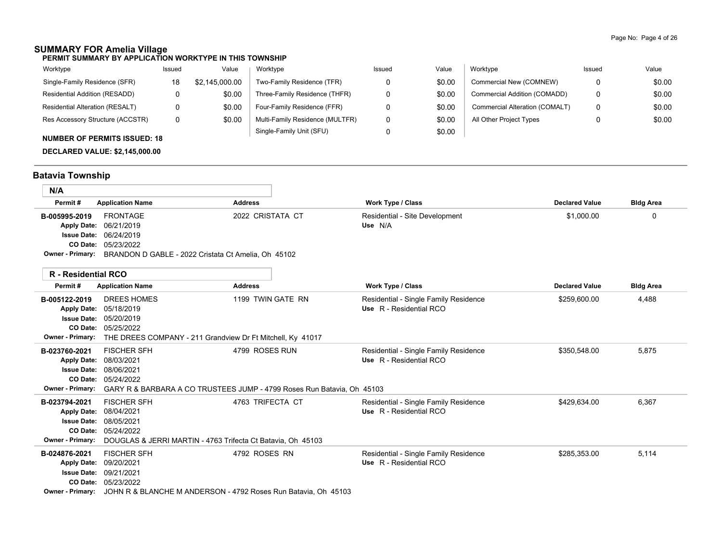## **SUMMARY FOR Amelia Village**

**PERMIT SUMMARY BY APPLICATION WORKTYPE IN THIS TOWNSHIP**

| Worktype                               | Issued | Value          | Worktype                        | Issued | Value  | Worktype                       | Issued | Value  |
|----------------------------------------|--------|----------------|---------------------------------|--------|--------|--------------------------------|--------|--------|
| Single-Family Residence (SFR)          | 18     | \$2.145.000.00 | Two-Family Residence (TFR)      |        | \$0.00 | Commercial New (COMNEW)        |        | \$0.00 |
| Residential Addition (RESADD)          |        | \$0.00         | Three-Family Residence (THFR)   |        | \$0.00 | Commercial Addition (COMADD)   | 0      | \$0.00 |
| <b>Residential Alteration (RESALT)</b> |        | \$0.00         | Four-Family Residence (FFR)     |        | \$0.00 | Commercial Alteration (COMALT) | 0      | \$0.00 |
| Res Accessory Structure (ACCSTR)       | 0      | \$0.00         | Multi-Family Residence (MULTFR) |        | \$0.00 | All Other Project Types        |        | \$0.00 |
| <b>NUMBER OF PERMITS ISSUED: 18</b>    |        |                | Single-Family Unit (SFU)        |        | \$0.00 |                                |        |        |

**DECLARED VALUE: \$2,145,000.00**

# **Batavia Township**

| N/A           |                               |                                                                             |                                |                       |                  |
|---------------|-------------------------------|-----------------------------------------------------------------------------|--------------------------------|-----------------------|------------------|
| Permit#       | <b>Application Name</b>       | <b>Address</b>                                                              | Work Type / Class              | <b>Declared Value</b> | <b>Bldg Area</b> |
| B-005995-2019 | <b>FRONTAGE</b>               | 2022 CRISTATA CT                                                            | Residential - Site Development | \$1,000.00            |                  |
|               | Apply Date: 06/21/2019        |                                                                             | Use N/A                        |                       |                  |
|               | <b>Issue Date: 06/24/2019</b> |                                                                             |                                |                       |                  |
|               | <b>CO Date: 05/23/2022</b>    |                                                                             |                                |                       |                  |
|               |                               | <b>Owner - Primary:</b> BRANDON D GABLE - 2022 Cristata Ct Amelia, Oh 45102 |                                |                       |                  |

| <b>R</b> - Residential RCO |                         |                                                                        |                                       |                       |                  |
|----------------------------|-------------------------|------------------------------------------------------------------------|---------------------------------------|-----------------------|------------------|
| Permit#                    | <b>Application Name</b> | <b>Address</b>                                                         | Work Type / Class                     | <b>Declared Value</b> | <b>Bldg Area</b> |
| B-005122-2019              | DREES HOMES             | 1199 TWIN GATE RN                                                      | Residential - Single Family Residence | \$259,600.00          | 4,488            |
| <b>Apply Date:</b>         | 05/18/2019              |                                                                        | Use R - Residential RCO               |                       |                  |
| <b>Issue Date:</b>         | 05/20/2019              |                                                                        |                                       |                       |                  |
| CO Date:                   | 05/25/2022              |                                                                        |                                       |                       |                  |
| <b>Owner - Primary:</b>    |                         | THE DREES COMPANY - 211 Grandview Dr Ft Mitchell, Ky 41017             |                                       |                       |                  |
| B-023760-2021              | <b>FISCHER SFH</b>      | 4799 ROSES RUN                                                         | Residential - Single Family Residence | \$350,548.00          | 5,875            |
| <b>Apply Date:</b>         | 08/03/2021              |                                                                        | Use R - Residential RCO               |                       |                  |
| <b>Issue Date:</b>         | 08/06/2021              |                                                                        |                                       |                       |                  |
| <b>CO Date:</b>            | 05/24/2022              |                                                                        |                                       |                       |                  |
| <b>Owner - Primary:</b>    |                         | GARY R & BARBARA A CO TRUSTEES JUMP - 4799 Roses Run Batavia, Oh 45103 |                                       |                       |                  |
| B-023794-2021              | <b>FISCHER SFH</b>      | 4763 TRIFECTA CT                                                       | Residential - Single Family Residence | \$429,634.00          | 6,367            |
| <b>Apply Date:</b>         | 08/04/2021              |                                                                        | Use R - Residential RCO               |                       |                  |
| <b>Issue Date:</b>         | 08/05/2021              |                                                                        |                                       |                       |                  |
| CO Date:                   | 05/24/2022              |                                                                        |                                       |                       |                  |
| <b>Owner - Primary:</b>    |                         | DOUGLAS & JERRI MARTIN - 4763 Trifecta Ct Batavia, Oh 45103            |                                       |                       |                  |
| B-024876-2021              | <b>FISCHER SFH</b>      | 4792 ROSES RN                                                          | Residential - Single Family Residence | \$285,353.00          | 5,114            |
| <b>Apply Date:</b>         | 09/20/2021              |                                                                        | Use R - Residential RCO               |                       |                  |
| <b>Issue Date:</b>         | 09/21/2021              |                                                                        |                                       |                       |                  |
| <b>CO Date:</b>            | 05/23/2022              |                                                                        |                                       |                       |                  |
| <b>Owner - Primary:</b>    |                         | JOHN R & BLANCHE M ANDERSON - 4792 Roses Run Batavia, Oh 45103         |                                       |                       |                  |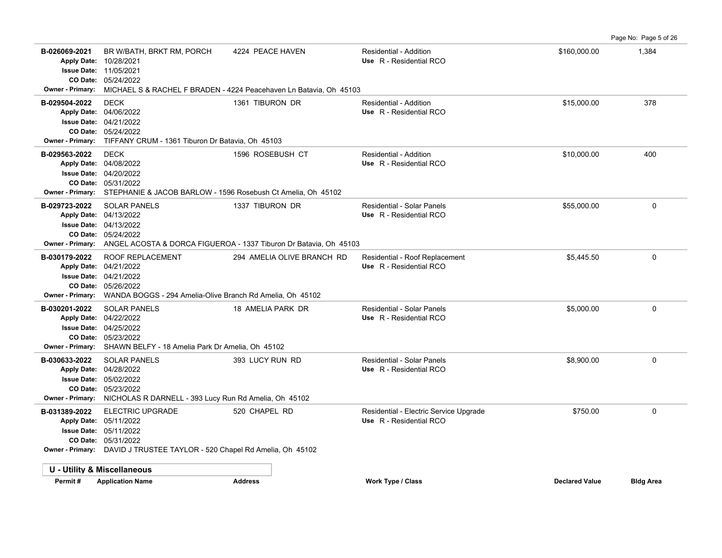**B-026069-2021** BR W/BATH, BRKT RM, PORCH 4224 PEACE HAVEN Residential - Addition the state of the state state of the state of the state of the state of the state of the state of the state of the state of the state of the 05/24/2022 **CO Date:** 11/05/2021 **Issue Date:** Apply Date: 10/28/2021 **Apply Date: Use** R - Residential RCO **Owner - Primary:** MICHAEL S & RACHEL F BRADEN - 4224 Peacehaven Ln Batavia, Oh 45103 **B-029504-2022** \$15,000.00 378 05/24/2022 **CO Date:** 04/21/2022 **Issue Date:** 04/06/2022 **Apply Date: Use** R - Residential RCO DECK 1361 TIBURON DR Residential - Addition **Owner - Primary:** TIFFANY CRUM - 1361 Tiburon Dr Batavia, Oh 45103 **B-029563-2022** \$10,000.00 400 DECK 1596 ROSEBUSH CT Residential - Addition 05/31/2022 **CO Date:** 04/20/2022 **Issue Date:** 04/08/2022 **Apply Date: Use** R - Residential RCO **Owner - Primary:** STEPHANIE & JACOB BARLOW - 1596 Rosebush Ct Amelia, Oh 45102 **B-029723-2022** \$55,000.00 0 SOLAR PANELS 1337 TIBURON DR Residential - Solar Panels 05/24/2022 **CO Date:** 04/13/2022 **Issue Date:** Apply Date: 04/13/2022 **Apply Date: Use** R - Residential RCO **Owner - Primary:** ANGEL ACOSTA & DORCA FIGUEROA - 1337 Tiburon Dr Batavia, Oh 45103 B-030179-2022 ROOF REPLACEMENT 294 AMELIA OLIVE BRANCH RD Residential - Roof Replacement \$5,445.50 \$5,445.50 05/26/2022 **CO Date:** 04/21/2022 **Issue Date:** Apply Date: 04/21/2022 **Apply Date: Use** R - Residential RCO **Owner - Primary:** WANDA BOGGS - 294 Amelia-Olive Branch Rd Amelia, Oh 45102 **B-030201-2022** \$5,000.00 0 SOLAR PANELS 18 AMELIA PARK DR Residential - Solar Panels 05/23/2022 **CO Date:** 04/25/2022 **Issue Date:** Apply Date: 04/22/2022 **Apply Date: Use** R - Residential RCO **Owner - Primary:** SHAWN BELFY - 18 Amelia Park Dr Amelia, Oh 45102 **B-030633-2022** \$8,900.00 0 SOLAR PANELS 393 LUCY RUN RD Residential - Solar Panels 05/23/2022 **CO Date:** 05/02/2022 **Issue Date:** Apply Date: 04/28/2022 **Apply Date: Use** R - Residential RCO **Owner - Primary:** NICHOLAS R DARNELL - 393 Lucy Run Rd Amelia, Oh 45102 **B-031389-2022** ELECTRIC UPGRADE 520 CHAPEL RD Residential - Electric Service Upgrade \$750.00 \$750.00 05/31/2022 **CO Date:** 05/11/2022 **Issue Date:** Apply Date: 05/11/2022 **Apply Date: Use** R - Residential RCO **Owner - Primary:** DAVID J TRUSTEE TAYLOR - 520 Chapel Rd Amelia, Oh 45102 **U - Utility & Miscellaneous Permit # Application Name Address Work Type / Class Declared Value Bldg Area**

Page No: Page 5 of 26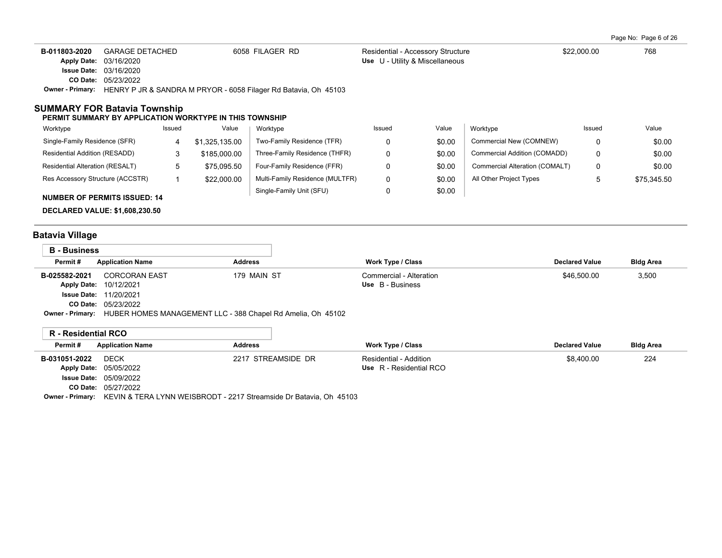Page No: Page 6 of 26

| B-011803-2020           | GARAGE DETACHED                                                 | 6058 FILAGER RD | Residential - Accessory Structure | \$22,000.00 | 768 |
|-------------------------|-----------------------------------------------------------------|-----------------|-----------------------------------|-------------|-----|
|                         | <b>Apply Date: 03/16/2020</b>                                   |                 | Use U - Utility & Miscellaneous   |             |     |
|                         | <b>Issue Date: 03/16/2020</b>                                   |                 |                                   |             |     |
|                         | <b>CO Date: 05/23/2022</b>                                      |                 |                                   |             |     |
| <b>Owner - Primary:</b> | HENRY P JR & SANDRA M PRYOR - 6058 Filager Rd Batavia, Oh 45103 |                 |                                   |             |     |

#### **SUMMARY FOR Batavia Township**

#### **PERMIT SUMMARY BY APPLICATION WORKTYPE IN THIS TOWNSHIP**

| Worktype                               | Issued | Value          | Worktype                        | Issued | Value  | Worktype                       | Issued | Value       |
|----------------------------------------|--------|----------------|---------------------------------|--------|--------|--------------------------------|--------|-------------|
| Single-Family Residence (SFR)          |        | \$1.325.135.00 | Two-Family Residence (TFR)      |        | \$0.00 | Commercial New (COMNEW)        |        | \$0.00      |
| Residential Addition (RESADD)          |        | \$185,000.00   | Three-Family Residence (THFR)   |        | \$0.00 | Commercial Addition (COMADD)   |        | \$0.00      |
| <b>Residential Alteration (RESALT)</b> | 5      | \$75,095.50    | Four-Family Residence (FFR)     |        | \$0.00 | Commercial Alteration (COMALT) |        | \$0.00      |
| Res Accessory Structure (ACCSTR)       |        | \$22,000.00    | Multi-Family Residence (MULTFR) |        | \$0.00 | All Other Project Types        |        | \$75,345.50 |
| <b>NUMBER OF PERMITS ISSUED: 14</b>    |        |                | Single-Family Unit (SFU)        |        | \$0.00 |                                |        |             |

**DECLARED VALUE: \$1,608,230.50**

# **Batavia Village**

| <b>B</b> - Business     |                                                             |                |                          |                       |                  |
|-------------------------|-------------------------------------------------------------|----------------|--------------------------|-----------------------|------------------|
| Permit#                 | <b>Application Name</b>                                     | <b>Address</b> | <b>Work Type / Class</b> | <b>Declared Value</b> | <b>Bldg Area</b> |
| B-025582-2021           | <b>CORCORAN EAST</b>                                        | 179 MAIN ST    | Commercial - Alteration  | \$46,500.00           | 3,500            |
|                         | <b>Apply Date: 10/12/2021</b>                               |                | Use B - Business         |                       |                  |
|                         | <b>Issue Date: 11/20/2021</b>                               |                |                          |                       |                  |
|                         | <b>CO Date: 05/23/2022</b>                                  |                |                          |                       |                  |
| <b>Owner - Primary:</b> | HUBER HOMES MANAGEMENT LLC - 388 Chapel Rd Amelia, Oh 45102 |                |                          |                       |                  |

|               | R - Residential RCO           |                                                                                                                                                                                                                                                                                                                                                                                               |                          |                       |                  |
|---------------|-------------------------------|-----------------------------------------------------------------------------------------------------------------------------------------------------------------------------------------------------------------------------------------------------------------------------------------------------------------------------------------------------------------------------------------------|--------------------------|-----------------------|------------------|
| Permit#       | <b>Application Name</b>       | <b>Address</b>                                                                                                                                                                                                                                                                                                                                                                                | <b>Work Type / Class</b> | <b>Declared Value</b> | <b>Bldg Area</b> |
| B-031051-2022 | <b>DECK</b>                   | 2217 STREAMSIDE DR                                                                                                                                                                                                                                                                                                                                                                            | Residential - Addition   | \$8.400.00            | 224              |
|               | Apply Date: 05/05/2022        |                                                                                                                                                                                                                                                                                                                                                                                               | Use R - Residential RCO  |                       |                  |
|               | <b>Issue Date: 05/09/2022</b> |                                                                                                                                                                                                                                                                                                                                                                                               |                          |                       |                  |
|               | CO Date: 05/27/2022           |                                                                                                                                                                                                                                                                                                                                                                                               |                          |                       |                  |
|               |                               | $\bullet$ . $\bullet$ . $\bullet$ . $\bullet$ . $\bullet$ . $\bullet$ . $\bullet$ . $\bullet$ . $\bullet$ . $\bullet$ . $\bullet$ . $\bullet$ . $\bullet$ . $\bullet$ . $\bullet$ . $\bullet$ . $\bullet$ . $\bullet$ . $\bullet$ . $\bullet$ . $\bullet$ . $\bullet$ . $\bullet$ . $\bullet$ . $\bullet$ . $\bullet$ . $\bullet$ . $\bullet$ . $\bullet$ . $\bullet$ . $\bullet$ . $\bullet$ |                          |                       |                  |

**Owner - Primary:** KEVIN & TERA LYNN WEISBRODT - 2217 Streamside Dr Batavia, Oh 45103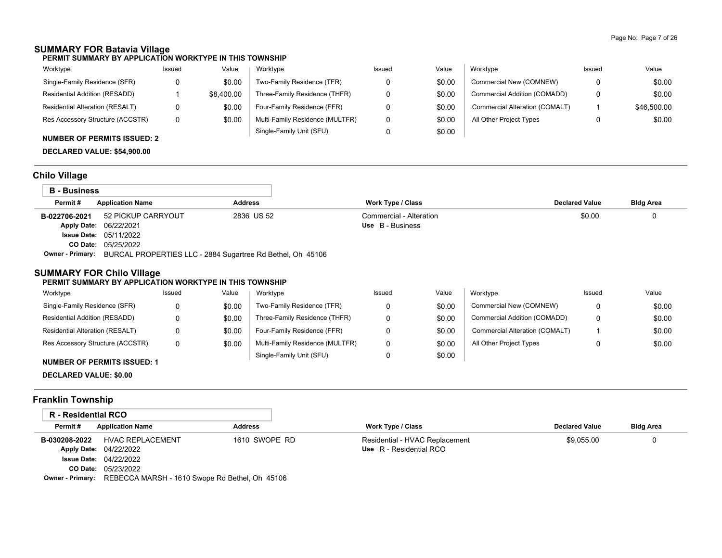# **SUMMARY FOR Batavia Village**

| Worktype                         | Issued | Value      | Worktype                        | Issued | Value  | Worktvpe                       | Issued | Value       |
|----------------------------------|--------|------------|---------------------------------|--------|--------|--------------------------------|--------|-------------|
| Single-Family Residence (SFR)    | 0      | \$0.00     | Two-Family Residence (TFR)      |        | \$0.00 | Commercial New (COMNEW)        |        | \$0.00      |
| Residential Addition (RESADD)    |        | \$8,400.00 | Three-Family Residence (THFR)   |        | \$0.00 | Commercial Addition (COMADD)   |        | \$0.00      |
| Residential Alteration (RESALT)  |        | \$0.00     | Four-Family Residence (FFR)     |        | \$0.00 | Commercial Alteration (COMALT) |        | \$46,500.00 |
| Res Accessory Structure (ACCSTR) | 0      | \$0.00     | Multi-Family Residence (MULTFR) |        | \$0.00 | All Other Project Types        |        | \$0.00      |
|                                  |        |            | Single-Family Unit (SFU)        |        | \$0.00 |                                |        |             |

## **NUMBER OF PERMITS ISSUED: 2**

**DECLARED VALUE: \$54,900.00**

# **Chilo Village**

| <b>B</b> - Business     |                                                            |                |                          |                       |                  |
|-------------------------|------------------------------------------------------------|----------------|--------------------------|-----------------------|------------------|
| Permit#                 | <b>Application Name</b>                                    | <b>Address</b> | <b>Work Type / Class</b> | <b>Declared Value</b> | <b>Bldg Area</b> |
| B-022706-2021           | 52 PICKUP CARRYOUT                                         | 2836 US 52     | Commercial - Alteration  | \$0.00                |                  |
|                         | Apply Date: 06/22/2021                                     |                | Use B - Business         |                       |                  |
|                         | <b>Issue Date: 05/11/2022</b>                              |                |                          |                       |                  |
|                         | <b>CO Date: 05/25/2022</b>                                 |                |                          |                       |                  |
| <b>Owner - Primary:</b> | BURCAL PROPERTIES LLC - 2884 Sugartree Rd Bethel, Oh 45106 |                |                          |                       |                  |

#### **SUMMARY FOR Chilo Village**

#### **PERMIT SUMMARY BY APPLICATION WORKTYPE IN THIS TOWNSHIP**

| Worktype                         | Issued | Value  | Worktype                        | Issued | Value  | Worktype                       | Issued | Value  |
|----------------------------------|--------|--------|---------------------------------|--------|--------|--------------------------------|--------|--------|
| Single-Family Residence (SFR)    |        | \$0.00 | Two-Family Residence (TFR)      |        | \$0.00 | Commercial New (COMNEW)        |        | \$0.00 |
| Residential Addition (RESADD)    |        | \$0.00 | Three-Family Residence (THFR)   |        | \$0.00 | Commercial Addition (COMADD)   |        | \$0.00 |
| Residential Alteration (RESALT)  |        | \$0.00 | Four-Family Residence (FFR)     |        | \$0.00 | Commercial Alteration (COMALT) |        | \$0.00 |
| Res Accessory Structure (ACCSTR) |        | \$0.00 | Multi-Family Residence (MULTFR) |        | \$0.00 | All Other Project Types        |        | \$0.00 |
|                                  |        |        | Single-Family Unit (SFU)        |        | \$0.00 |                                |        |        |

#### **NUMBER OF PERMITS ISSUED: 1**

**DECLARED VALUE: \$0.00**

# **Franklin Township**

| R - Residential RCO |                                                                        |                |                                |                       |                  |
|---------------------|------------------------------------------------------------------------|----------------|--------------------------------|-----------------------|------------------|
| Permit#             | <b>Application Name</b>                                                | <b>Address</b> | <b>Work Type / Class</b>       | <b>Declared Value</b> | <b>Bldg Area</b> |
| B-030208-2022       | HVAC REPLACEMENT                                                       | 1610 SWOPE RD  | Residential - HVAC Replacement | \$9.055.00            |                  |
|                     | Apply Date: 04/22/2022                                                 |                | Use R - Residential RCO        |                       |                  |
|                     | <b>Issue Date: 04/22/2022</b>                                          |                |                                |                       |                  |
|                     | <b>CO Date: 05/23/2022</b>                                             |                |                                |                       |                  |
|                     | <b>Owner - Primary:</b> REBECCA MARSH - 1610 Swope Rd Bethel, Oh 45106 |                |                                |                       |                  |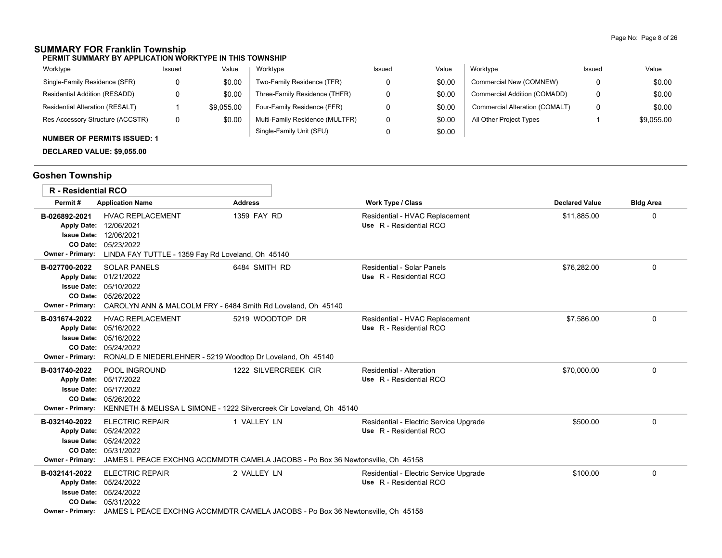## **SUMMARY FOR Franklin Township**

**PERMIT SUMMARY BY APPLICATION WORKTYPE IN THIS TOWNSHIP**

| Worktype                               | Issued | Value      | Worktype                        | Issued | Value  | Worktype                       | Issued | Value      |
|----------------------------------------|--------|------------|---------------------------------|--------|--------|--------------------------------|--------|------------|
| Single-Family Residence (SFR)          |        | \$0.00     | Two-Family Residence (TFR)      |        | \$0.00 | Commercial New (COMNEW)        |        | \$0.00     |
| Residential Addition (RESADD)          |        | \$0.00     | Three-Family Residence (THFR)   |        | \$0.00 | Commercial Addition (COMADD)   | 0      | \$0.00     |
| <b>Residential Alteration (RESALT)</b> |        | \$9.055.00 | Four-Family Residence (FFR)     |        | \$0.00 | Commercial Alteration (COMALT) | 0      | \$0.00     |
| Res Accessory Structure (ACCSTR)       | 0      | \$0.00     | Multi-Family Residence (MULTFR) |        | \$0.00 | All Other Project Types        |        | \$9,055.00 |
| <b>NUMBER OF PERMITS ISSUED: 1</b>     |        |            | Single-Family Unit (SFU)        |        | \$0.00 |                                |        |            |

**DECLARED VALUE: \$9,055.00**

# **Goshen Township**

| <b>R</b> - Residential RCO               |                                                                                                                                                                         |                                                                                               |                                                                   |                       |                  |
|------------------------------------------|-------------------------------------------------------------------------------------------------------------------------------------------------------------------------|-----------------------------------------------------------------------------------------------|-------------------------------------------------------------------|-----------------------|------------------|
| Permit#                                  | <b>Application Name</b>                                                                                                                                                 | <b>Address</b>                                                                                | <b>Work Type / Class</b>                                          | <b>Declared Value</b> | <b>Bldg Area</b> |
| B-026892-2021<br>Owner - Primary:        | <b>HVAC REPLACEMENT</b><br>Apply Date: 12/06/2021<br><b>Issue Date: 12/06/2021</b><br>CO Date: 05/23/2022<br>LINDA FAY TUTTLE - 1359 Fay Rd Loveland, Oh 45140          | 1359 FAY RD                                                                                   | Residential - HVAC Replacement<br>Use R - Residential RCO         | \$11,885.00           | $\mathbf 0$      |
| B-027700-2022<br><b>Owner - Primary:</b> | <b>SOLAR PANELS</b><br>Apply Date: 01/21/2022<br><b>Issue Date: 05/10/2022</b><br>CO Date: 05/26/2022<br>CAROLYN ANN & MALCOLM FRY - 6484 Smith Rd Loveland, Oh 45140   | 6484 SMITH RD                                                                                 | Residential - Solar Panels<br>Use R - Residential RCO             | \$76,282.00           | $\mathbf 0$      |
| B-031674-2022<br><b>Owner - Primary:</b> | <b>HVAC REPLACEMENT</b><br>Apply Date: 05/16/2022<br><b>Issue Date: 05/16/2022</b><br>CO Date: 05/24/2022<br>RONALD E NIEDERLEHNER - 5219 Woodtop Dr Loveland, Oh 45140 | 5219 WOODTOP DR                                                                               | Residential - HVAC Replacement<br>Use R - Residential RCO         | \$7,586.00            | 0                |
| B-031740-2022<br><b>Owner - Primary:</b> | POOL INGROUND<br>Apply Date: 05/17/2022<br><b>Issue Date: 05/17/2022</b><br>CO Date: 05/26/2022                                                                         | 1222 SILVERCREEK CIR<br>KENNETH & MELISSA L SIMONE - 1222 Silvercreek Cir Loveland, Oh 45140  | Residential - Alteration<br>Use R - Residential RCO               | \$70,000.00           | 0                |
| B-032140-2022<br><b>Owner - Primary:</b> | ELECTRIC REPAIR<br>Apply Date: 05/24/2022<br><b>Issue Date: 05/24/2022</b><br>CO Date: 05/31/2022                                                                       | 1 VALLEY LN<br>JAMES L PEACE EXCHNG ACCMMDTR CAMELA JACOBS - Po Box 36 Newtonsville, Oh 45158 | Residential - Electric Service Upgrade<br>Use R - Residential RCO | \$500.00              | 0                |
| B-032141-2022<br><b>Owner - Primary:</b> | <b>ELECTRIC REPAIR</b><br>Apply Date: 05/24/2022<br><b>Issue Date: 05/24/2022</b><br>CO Date: 05/31/2022                                                                | 2 VALLEY LN<br>JAMES L PEACE EXCHNG ACCMMDTR CAMELA JACOBS - Po Box 36 Newtonsville, Oh 45158 | Residential - Electric Service Upgrade<br>Use R - Residential RCO | \$100.00              | 0                |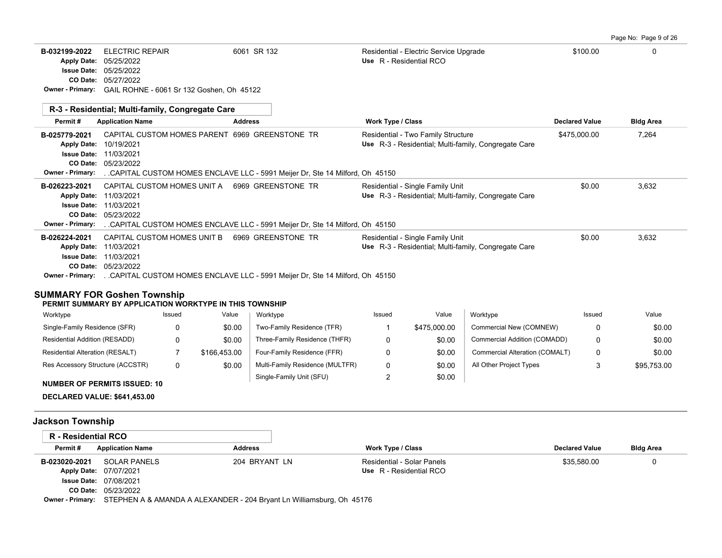| B-032199-2022<br><b>Apply Date:</b>                                                                            | <b>ELECTRIC REPAIR</b><br>05/25/2022<br><b>Issue Date: 05/25/2022</b><br>CO Date: 05/27/2022 | Owner - Primary: GAIL ROHNE - 6061 Sr 132 Goshen, Oh 45122                             | 6061 SR 132    |                                                                                                                    | Use R - Residential RCO | Residential - Electric Service Upgrade |                                                      | \$100.00              | $\Omega$    |
|----------------------------------------------------------------------------------------------------------------|----------------------------------------------------------------------------------------------|----------------------------------------------------------------------------------------|----------------|--------------------------------------------------------------------------------------------------------------------|-------------------------|----------------------------------------|------------------------------------------------------|-----------------------|-------------|
|                                                                                                                |                                                                                              | R-3 - Residential; Multi-family, Congregate Care                                       |                |                                                                                                                    |                         |                                        |                                                      |                       |             |
| Permit#                                                                                                        | <b>Application Name</b>                                                                      |                                                                                        | <b>Address</b> |                                                                                                                    | Work Type / Class       |                                        |                                                      | <b>Declared Value</b> | Bidg Area   |
| B-025779-2021<br>Apply Date: 10/19/2021<br><b>Issue Date: 11/03/2021</b><br><b>Owner - Primary:</b>            | CO Date: 05/23/2022                                                                          | CAPITAL CUSTOM HOMES PARENT 6969 GREENSTONE TR                                         |                | . CAPITAL CUSTOM HOMES ENCLAVE LLC - 5991 Meijer Dr, Ste 14 Milford, Oh 45150                                      |                         | Residential - Two Family Structure     | Use R-3 - Residential; Multi-family, Congregate Care | \$475,000.00          | 7,264       |
| B-026223-2021<br>Apply Date: 11/03/2021<br><b>Issue Date: 11/03/2021</b><br><b>Owner - Primary:</b>            | CO Date: 05/23/2022                                                                          | CAPITAL CUSTOM HOMES UNIT A                                                            |                | 6969 GREENSTONE TR<br>CAPITAL CUSTOM HOMES ENCLAVE LLC - 5991 Meijer Dr, Ste 14 Milford, Oh 45150                  |                         | Residential - Single Family Unit       | Use R-3 - Residential; Multi-family, Congregate Care | \$0.00                | 3.632       |
| B-026224-2021<br>Apply Date: 11/03/2021<br><b>Issue Date: 11/03/2021</b><br><b>SUMMARY FOR Goshen Township</b> | CO Date: 05/23/2022                                                                          | CAPITAL CUSTOM HOMES UNIT B<br>PERMIT SUMMARY BY APPLICATION WORKTYPE IN THIS TOWNSHIP |                | 6969 GREENSTONE TR<br>Owner - Primary: CAPITAL CUSTOM HOMES ENCLAVE LLC - 5991 Meijer Dr, Ste 14 Milford, Oh 45150 |                         | Residential - Single Family Unit       | Use R-3 - Residential; Multi-family, Congregate Care | \$0.00                | 3,632       |
| Worktype                                                                                                       |                                                                                              | Issued                                                                                 | Value          | Worktype                                                                                                           | Issued                  | Value                                  | Worktype                                             | Issued                | Value       |
| Single-Family Residence (SFR)                                                                                  |                                                                                              | 0                                                                                      | \$0.00         | Two-Family Residence (TFR)                                                                                         | $\mathbf{1}$            | \$475,000.00                           | Commercial New (COMNEW)                              | 0                     | \$0.00      |
| Residential Addition (RESADD)                                                                                  |                                                                                              | 0                                                                                      | \$0.00         | Three-Family Residence (THFR)                                                                                      | $\Omega$                | \$0.00                                 | Commercial Addition (COMADD)                         | 0                     | \$0.00      |
| Residential Alteration (RESALT)                                                                                |                                                                                              | 7                                                                                      | \$166,453.00   | Four-Family Residence (FFR)                                                                                        | 0                       | \$0.00                                 | Commercial Alteration (COMALT)                       | 0                     | \$0.00      |
| Res Accessory Structure (ACCSTR)                                                                               |                                                                                              | 0                                                                                      | \$0.00         | Multi-Family Residence (MULTFR)<br>Single-Family Unit (SFU)                                                        | 0<br>$\overline{2}$     | \$0.00<br>\$0.00                       | All Other Project Types                              | 3                     | \$95,753.00 |
| <b>NUMBER OF PERMITS ISSUED: 10</b><br>DECLARED VALUE: \$641,453.00                                            |                                                                                              |                                                                                        |                |                                                                                                                    |                         |                                        |                                                      |                       |             |
| <b>Jackson Township</b>                                                                                        |                                                                                              |                                                                                        |                |                                                                                                                    |                         |                                        |                                                      |                       |             |
| <b>R</b> - Residential RCO                                                                                     |                                                                                              |                                                                                        |                |                                                                                                                    |                         |                                        |                                                      |                       |             |

| Permit#       | <b>Application Name</b>                                                                | <b>Address</b> | Work Type / Class                                     | <b>Declared Value</b> | <b>Bldg Area</b> |
|---------------|----------------------------------------------------------------------------------------|----------------|-------------------------------------------------------|-----------------------|------------------|
| B-023020-2021 | SOLAR PANELS<br>Apply Date: 07/07/2021                                                 | 204 BRYANT LN  | Residential - Solar Panels<br>Use R - Residential RCO | \$35.580.00           |                  |
|               | <b>Issue Date: 07/08/2021</b>                                                          |                |                                                       |                       |                  |
| CO Date:      | 05/23/2022                                                                             |                |                                                       |                       |                  |
|               | Owner - Primary: STEPHEN A & AMANDA A ALEXANDER - 204 Bryant Ln Williamsburg, Oh 45176 |                |                                                       |                       |                  |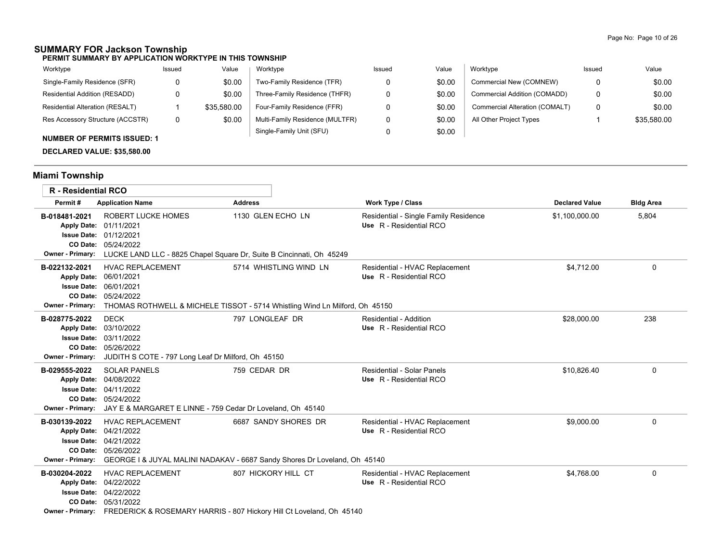## **SUMMARY FOR Jackson Township**

**PERMIT SUMMARY BY APPLICATION WORKTYPE IN THIS TOWNSHIP**

| Worktype                         | Issued | Value       | Worktype                        | Issued | Value  | Worktype                       | Issued | Value       |
|----------------------------------|--------|-------------|---------------------------------|--------|--------|--------------------------------|--------|-------------|
| Single-Family Residence (SFR)    |        | \$0.00      | Two-Family Residence (TFR)      |        | \$0.00 | Commercial New (COMNEW)        | 0      | \$0.00      |
| Residential Addition (RESADD)    |        | \$0.00      | Three-Family Residence (THFR)   |        | \$0.00 | Commercial Addition (COMADD)   | 0      | \$0.00      |
| Residential Alteration (RESALT)  |        | \$35,580.00 | Four-Family Residence (FFR)     |        | \$0.00 | Commercial Alteration (COMALT) | 0      | \$0.00      |
| Res Accessory Structure (ACCSTR) | 0      | \$0.00      | Multi-Family Residence (MULTFR) |        | \$0.00 | All Other Project Types        |        | \$35,580.00 |
|                                  |        |             | Single-Family Unit (SFU)        |        | \$0.00 |                                |        |             |

#### **NUMBER OF PERMITS ISSUED: 1**

**DECLARED VALUE: \$35,580.00**

# **Miami Township**

| <b>R</b> - Residential RCO               |                                                                                                                                                                                          |                                                                                                   |                                                                  |                       |                  |
|------------------------------------------|------------------------------------------------------------------------------------------------------------------------------------------------------------------------------------------|---------------------------------------------------------------------------------------------------|------------------------------------------------------------------|-----------------------|------------------|
| Permit#                                  | <b>Application Name</b>                                                                                                                                                                  | <b>Address</b>                                                                                    | <b>Work Type / Class</b>                                         | <b>Declared Value</b> | <b>Bldg Area</b> |
| B-018481-2021<br>Owner - Primary:        | <b>ROBERT LUCKE HOMES</b><br>Apply Date: 01/11/2021<br><b>Issue Date: 01/12/2021</b><br>CO Date: 05/24/2022<br>LUCKE LAND LLC - 8825 Chapel Square Dr, Suite B Cincinnati, Oh 45249      | 1130 GLEN ECHO LN                                                                                 | Residential - Single Family Residence<br>Use R - Residential RCO | \$1,100,000.00        | 5,804            |
| B-022132-2021<br>Owner - Primary:        | <b>HVAC REPLACEMENT</b><br>Apply Date: 06/01/2021<br><b>Issue Date: 06/01/2021</b><br>CO Date: 05/24/2022<br>THOMAS ROTHWELL & MICHELE TISSOT - 5714 Whistling Wind Ln Milford, Oh 45150 | 5714 WHISTLING WIND LN                                                                            | Residential - HVAC Replacement<br>Use R - Residential RCO        | \$4,712.00            | 0                |
| B-028775-2022<br><b>Owner - Primary:</b> | <b>DECK</b><br>Apply Date: 03/10/2022<br><b>Issue Date: 03/11/2022</b><br>CO Date: 05/26/2022<br>JUDITH S COTE - 797 Long Leaf Dr Milford, Oh 45150                                      | 797 LONGLEAF DR                                                                                   | Residential - Addition<br>Use R - Residential RCO                | \$28,000.00           | 238              |
| B-029555-2022<br><b>Owner - Primary:</b> | <b>SOLAR PANELS</b><br>Apply Date: 04/08/2022<br><b>Issue Date: 04/11/2022</b><br>CO Date: 05/24/2022<br>JAY E & MARGARET E LINNE - 759 Cedar Dr Loveland, Oh 45140                      | 759 CEDAR DR                                                                                      | Residential - Solar Panels<br>Use R - Residential RCO            | \$10.826.40           | 0                |
| B-030139-2022<br><b>Owner - Primary:</b> | <b>HVAC REPLACEMENT</b><br>Apply Date: 04/21/2022<br><b>Issue Date: 04/21/2022</b><br>CO Date: 05/26/2022                                                                                | 6687 SANDY SHORES DR<br>GEORGE I & JUYAL MALINI NADAKAV - 6687 Sandy Shores Dr Loveland, Oh 45140 | Residential - HVAC Replacement<br>Use R - Residential RCO        | \$9,000.00            | 0                |
| B-030204-2022<br><b>Owner - Primary:</b> | <b>HVAC REPLACEMENT</b><br>Apply Date: 04/22/2022<br><b>Issue Date: 04/22/2022</b><br>CO Date: 05/31/2022<br>FREDERICK & ROSEMARY HARRIS - 807 Hickory Hill Ct Loveland, Oh 45140        | 807 HICKORY HILL CT                                                                               | Residential - HVAC Replacement<br>Use R - Residential RCO        | \$4.768.00            | 0                |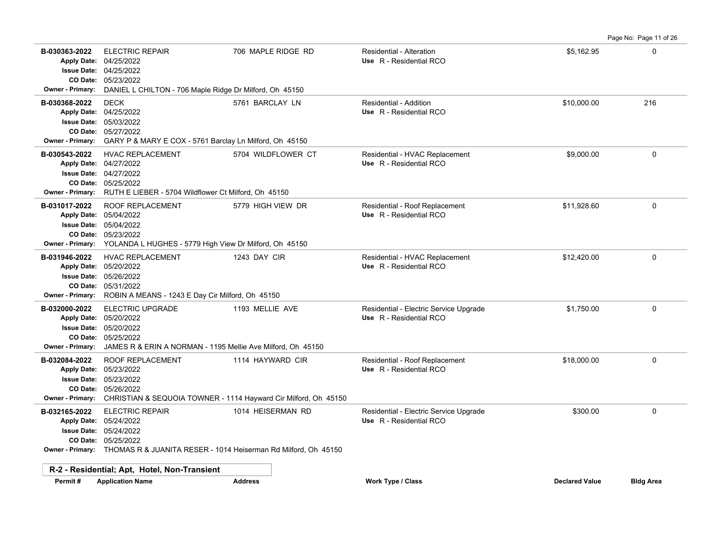**B-030363-2022** \$5,162.95 0 ELECTRIC REPAIR 706 MAPLE RIDGE RD Residential - Alteration 05/23/2022 **CO Date:** 04/25/2022 **Issue Date:** Apply Date: 04/25/2022 **Apply Date: Use** R - Residential RCO **Owner - Primary:** DANIEL L CHILTON - 706 Maple Ridge Dr Milford, Oh 45150 **B-030368-2022** \$10,000.00 216 05/27/2022 **CO Date:** 05/03/2022 **Issue Date:** 04/25/2022 **Apply Date: Use** R - Residential RCO DECK 6761 BARCLAY LN Residential - Addition **Owner - Primary:** GARY P & MARY E COX - 5761 Barclay Ln Milford, Oh 45150 **B-030543-2022** \$9,000.00 0 HVAC REPLACEMENT 5704 WILDFLOWER CT Residential - HVAC Replacement 05/25/2022 **CO Date:** 04/27/2022 **Issue Date:** 04/27/2022 **Apply Date: Use** R - Residential RCO **Owner - Primary:** RUTH E LIEBER - 5704 Wildflower Ct Milford, Oh 45150 B-031017-2022 ROOF REPLACEMENT 5779 HIGH VIEW DR Residential - Roof Replacement \$11,928.60 \$11,928.60 05/23/2022 **CO Date:** 05/04/2022 **Issue Date:** Apply Date: 05/04/2022 **Apply Date: Use** R - Residential RCO **Owner - Primary:** YOLANDA L HUGHES - 5779 High View Dr Milford, Oh 45150 **B-031946-2022** \$12,420.00 0 HVAC REPLACEMENT 1243 DAY CIR Residential - HVAC Replacement 05/31/2022 **CO Date:** 05/26/2022 **Issue Date:** Apply Date: 05/20/2022 **Apply Date: Use** R - Residential RCO **Owner - Primary:** ROBIN A MEANS - 1243 E Day Cir Milford, Oh 45150 B-032000-2022 ELECTRIC UPGRADE 1193 MELLIE AVE Residential - Electric Service Upgrade \$1,750.00 \$1,750.00 05/25/2022 **CO Date:** 05/20/2022 **Issue Date:** 05/20/2022 **Apply Date: Use** R - Residential RCO **Owner - Primary:** JAMES R & ERIN A NORMAN - 1195 Mellie Ave Milford, Oh 45150 **B-032084-2022** ROOF REPLACEMENT 1114 HAYWARD CIR Residential - Roof Replacement \$18,000.00 \$18,000.00 0 05/26/2022 **CO Date:** 05/23/2022 **Issue Date:** Apply Date: 05/23/2022 **Apply Date: Use** R - Residential RCO **Owner - Primary:** CHRISTIAN & SEQUOIA TOWNER - 1114 Hayward Cir Milford, Oh 45150 **B-032165-2022** ELECTRIC REPAIR 1014 HEISERMAN RD Residential - Electric Service Upgrade \$300.00 \$300.00 0 05/25/2022 **CO Date:** 05/24/2022 **Issue Date:** 05/24/2022 **Apply Date: Use** R - Residential RCO **Owner - Primary:** THOMAS R & JUANITA RESER - 1014 Heiserman Rd Milford, Oh 45150 **R-2 - Residential; Apt, Hotel, Non-Transient Permit # Application Name Address Work Type / Class Declared Value Bldg Area**

Page No: Page 11 of 26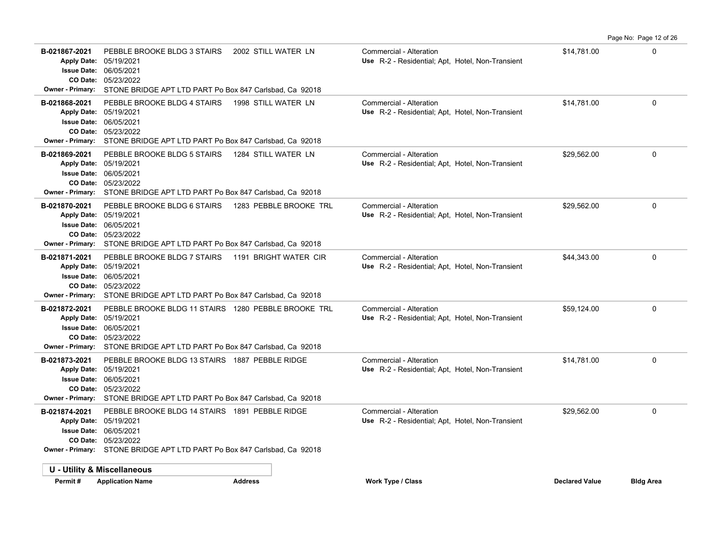**B-021867-2021** PEBBLE BROOKE BLDG 3 STAIRS 2002 STILL WATER LN Commercial - Alteration 6 14,781.00 6 14,781.00 05/23/2022 **CO Date:** 06/05/2021 **Issue Date:** Apply Date: 05/19/2021 Use R-2 - Residential; Apt, Hotel, Non-Transient **Owner - Primary:** STONE BRIDGE APT LTD PART Po Box 847 Carlsbad, Ca 92018 **B-021868-2021** PEBBLE BROOKE BLDG 4 STAIRS 1998 STILL WATER LN Commercial - Alteration 6 14,781.00 6 14,781.00 05/23/2022 **CO Date:** 06/05/2021 **Issue Date:** Apply Date: 05/19/2021 Use R-2 - Residential; Apt, Hotel, Non-Transient **Owner - Primary:** STONE BRIDGE APT LTD PART Po Box 847 Carlsbad, Ca 92018 **B-021869-2021** PEBBLE BROOKE BLDG 5 STAIRS 1284 STILL WATER LN Commercial - Alteration 6 1999, 129,562.00 0 0 1 05/23/2022 **CO Date:** 06/05/2021 **Issue Date:** Apply Date: 05/19/2021 **Apply Date: Use** R-2 - Residential; Apt, Hotel, Non-Transient **Owner - Primary:** STONE BRIDGE APT LTD PART Po Box 847 Carlsbad, Ca 92018 **B-021870-2021** PEBBLE BROOKE BLDG 6 STAIRS 1283 PEBBLE BROOKE TRL Commercial - Alteration 6 1999, 1999, 1999, 1999, 1999, 1999, 1999, 1999, 1999, 1999, 1999, 1999, 1999, 1999, 1999, 1999, 1999, 1999, 1999, 1999, 1999, 199 05/23/2022 **CO Date:** 06/05/2021 **Issue Date:** Apply Date: 05/19/2021 Use R-2 - Residential; Apt, Hotel, Non-Transient **Owner - Primary:** STONE BRIDGE APT LTD PART Po Box 847 Carlsbad, Ca 92018 **B-021871-2021** PEBBLE BROOKE BLDG 7 STAIRS 1191 BRIGHT WATER CIR Commercial - Alteration **Commercial - Alteration** 05/23/2022 **CO Date:** 06/05/2021 **Issue Date:** Apply Date: 05/19/2021 Use R-2 - Residential; Apt, Hotel, Non-Transient **Owner - Primary:** STONE BRIDGE APT LTD PART Po Box 847 Carlsbad, Ca 92018 **B-021872-2021** PEBBLE BROOKE BLDG 11 STAIRS 1280 PEBBLE BROOKE TRL Commercial - Alteration 6 69,124.00 659,124.00 05/23/2022 **CO Date:** 06/05/2021 **Issue Date:** Apply Date: 05/19/2021 **Apply Date: Use** R-2 - Residential; Apt, Hotel, Non-Transient **Owner - Primary:** STONE BRIDGE APT LTD PART Po Box 847 Carlsbad, Ca 92018 **B-021873-2021** PEBBLE BROOKE BLDG 13 STAIRS 1887 PEBBLE RIDGE Commercial - Alteration 6 14,781.00 514,781.00 05/23/2022 **CO Date:** 06/05/2021 **Issue Date:** Apply Date: 05/19/2021 **Use** R-2 - Residential; Apt, Hotel, Non-Transient **Owner - Primary:** STONE BRIDGE APT LTD PART Po Box 847 Carlsbad, Ca 92018 B-021874-2021 PEBBLE BROOKE BLDG 14 STAIRS 1891 PEBBLE RIDGE Commercial - Alteration **Commercial - Alteration** \$29,562.00 05/23/2022 **CO Date:** 06/05/2021 **Issue Date:** Apply Date: 05/19/2021 **Apply Date: Use** R-2 - Residential; Apt, Hotel, Non-Transient **Owner - Primary:** STONE BRIDGE APT LTD PART Po Box 847 Carlsbad, Ca 92018 **U - Utility & Miscellaneous Permit # Application Name Address Work Type / Class Declared Value Bldg Area**

Page No: Page 12 of 26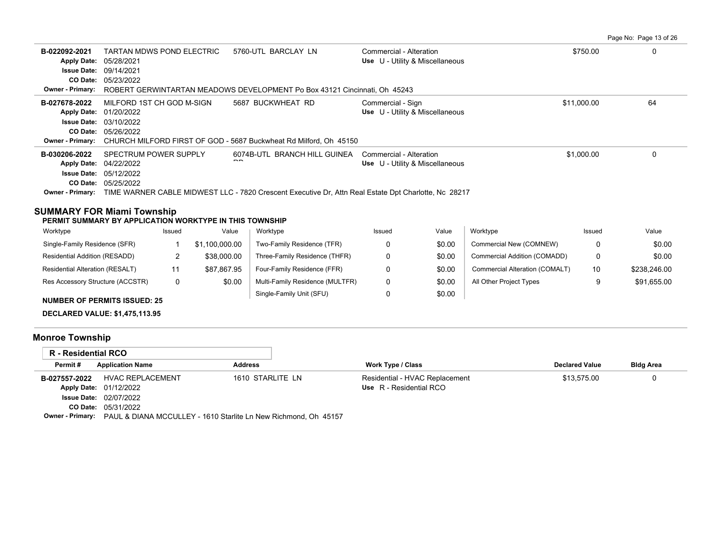|  |  |  | Page No: Page 13 of 26 |  |  |  |
|--|--|--|------------------------|--|--|--|
|--|--|--|------------------------|--|--|--|

| 09/14/2021                | 5760-UTL BARCLAY LN                                                                                                                                                                                                                                   | Commercial - Alteration<br>Use U - Utility & Miscellaneous | \$750.00                                                                                                                                                                                                                                                                                                                                                                        | 0  |
|---------------------------|-------------------------------------------------------------------------------------------------------------------------------------------------------------------------------------------------------------------------------------------------------|------------------------------------------------------------|---------------------------------------------------------------------------------------------------------------------------------------------------------------------------------------------------------------------------------------------------------------------------------------------------------------------------------------------------------------------------------|----|
|                           |                                                                                                                                                                                                                                                       |                                                            |                                                                                                                                                                                                                                                                                                                                                                                 |    |
|                           |                                                                                                                                                                                                                                                       |                                                            |                                                                                                                                                                                                                                                                                                                                                                                 |    |
| MILFORD 1ST CH GOD M-SIGN | 5687 BUCKWHEAT RD                                                                                                                                                                                                                                     | Commercial - Sign<br>Use U - Utility & Miscellaneous       | \$11.000.00                                                                                                                                                                                                                                                                                                                                                                     | 64 |
|                           |                                                                                                                                                                                                                                                       |                                                            |                                                                                                                                                                                                                                                                                                                                                                                 |    |
| SPECTRUM POWER SUPPLY     |                                                                                                                                                                                                                                                       | Use U - Utility & Miscellaneous                            | \$1,000.00                                                                                                                                                                                                                                                                                                                                                                      | 0  |
|                           | Apply Date: 05/28/2021<br><b>Issue Date:</b><br><b>CO Date: 05/23/2022</b><br>Apply Date: 01/20/2022<br><b>Issue Date: 03/10/2022</b><br>CO Date: 05/26/2022<br>Apply Date: 04/22/2022<br><b>Issue Date: 05/12/2022</b><br><b>CO Date: 05/25/2022</b> | TARTAN MDWS POND ELECTRIC                                  | <b>Owner - Primary:</b> ROBERT GERWINTARTAN MEADOWS DEVELOPMENT Po Box 43121 Cincinnati, Oh 45243<br><b>Owner - Primary:</b> CHURCH MILFORD FIRST OF GOD - 5687 Buckwheat Rd Milford, Oh 45150<br>6074B-UTL BRANCH HILL GUINEA Commercial - Alteration<br>Owner - Primary: TIME WARNER CABLE MIDWEST LLC - 7820 Crescent Executive Dr. Attn Real Estate Dpt Charlotte, Nc 28217 |    |

### **SUMMARY FOR Miami Township**

#### **PERMIT SUMMARY BY APPLICATION WORKTYPE IN THIS TOWNSHIP**

| Worktype                            | Issued | Value          | Worktype                        | Issued | Value  | Worktype                       | Issued | Value        |
|-------------------------------------|--------|----------------|---------------------------------|--------|--------|--------------------------------|--------|--------------|
| Single-Family Residence (SFR)       |        | \$1.100.000.00 | Two-Family Residence (TFR)      |        | \$0.00 | Commercial New (COMNEW)        |        | \$0.00       |
| Residential Addition (RESADD)       |        | \$38,000.00    | Three-Family Residence (THFR)   |        | \$0.00 | Commercial Addition (COMADD)   |        | \$0.00       |
| Residential Alteration (RESALT)     | 11     | \$87.867.95    | Four-Family Residence (FFR)     |        | \$0.00 | Commercial Alteration (COMALT) | 10     | \$238.246.00 |
| Res Accessory Structure (ACCSTR)    | 0      | \$0.00         | Multi-Family Residence (MULTFR) |        | \$0.00 | All Other Project Types        |        | \$91,655.00  |
| <b>NUMBER OF PERMITS ISSUED: 25</b> |        |                | Single-Family Unit (SFU)        |        | \$0.00 |                                |        |              |

**DECLARED VALUE: \$1,475,113.95**

# **Monroe Township**

| R - Residential RCO |                                                                                         |                  |                                |                       |                  |
|---------------------|-----------------------------------------------------------------------------------------|------------------|--------------------------------|-----------------------|------------------|
| Permit#             | <b>Application Name</b>                                                                 | <b>Address</b>   | <b>Work Type / Class</b>       | <b>Declared Value</b> | <b>Bldg Area</b> |
| B-027557-2022       | <b>HVAC REPLACEMENT</b>                                                                 | 1610 STARLITE LN | Residential - HVAC Replacement | \$13.575.00           |                  |
|                     | <b>Apply Date: 01/12/2022</b>                                                           |                  | Use R - Residential RCO        |                       |                  |
|                     | <b>Issue Date: 02/07/2022</b>                                                           |                  |                                |                       |                  |
|                     | <b>CO Date: 05/31/2022</b>                                                              |                  |                                |                       |                  |
|                     | <b>Owner - Primary:</b> PAUL & DIANA MCCULLEY - 1610 Starlite Ln New Richmond, Oh 45157 |                  |                                |                       |                  |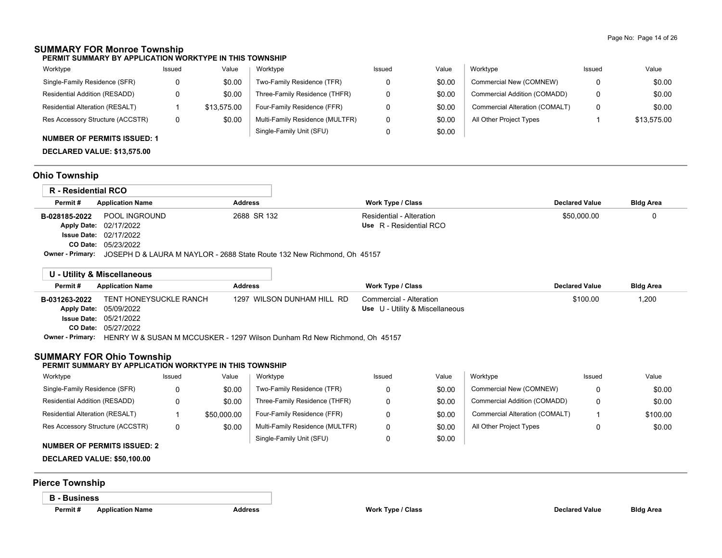## **SUMMARY FOR Monroe Township**

**PERMIT SUMMARY BY APPLICATION WORKTYPE IN THIS TOWNSHIP**

| Worktype                         | Issued | Value       | Worktype                        | Issued | Value  | Worktype                       | Issued | Value       |
|----------------------------------|--------|-------------|---------------------------------|--------|--------|--------------------------------|--------|-------------|
| Single-Family Residence (SFR)    |        | \$0.00      | Two-Family Residence (TFR)      |        | \$0.00 | Commercial New (COMNEW)        | 0      | \$0.00      |
| Residential Addition (RESADD)    |        | \$0.00      | Three-Family Residence (THFR)   |        | \$0.00 | Commercial Addition (COMADD)   | 0      | \$0.00      |
| Residential Alteration (RESALT)  |        | \$13.575.00 | Four-Family Residence (FFR)     |        | \$0.00 | Commercial Alteration (COMALT) | 0      | \$0.00      |
| Res Accessory Structure (ACCSTR) | 0      | \$0.00      | Multi-Family Residence (MULTFR) |        | \$0.00 | All Other Project Types        |        | \$13.575.00 |
|                                  |        |             | Single-Family Unit (SFU)        |        | \$0.00 |                                |        |             |

## **NUMBER OF PERMITS ISSUED: 1**

**DECLARED VALUE: \$13,575.00**

# **Ohio Township**

| R - Residential RCO     |                               |                                                                         |                          |                       |                  |  |  |  |  |
|-------------------------|-------------------------------|-------------------------------------------------------------------------|--------------------------|-----------------------|------------------|--|--|--|--|
| Permit#                 | <b>Application Name</b>       | <b>Address</b>                                                          | <b>Work Type / Class</b> | <b>Declared Value</b> | <b>Bldg Area</b> |  |  |  |  |
| B-028185-2022           | POOL INGROUND                 | 2688 SR 132                                                             | Residential - Alteration | \$50,000.00           | 0                |  |  |  |  |
|                         | Apply Date: 02/17/2022        |                                                                         | Use R - Residential RCO  |                       |                  |  |  |  |  |
|                         | <b>Issue Date: 02/17/2022</b> |                                                                         |                          |                       |                  |  |  |  |  |
|                         | <b>CO Date: 05/23/2022</b>    |                                                                         |                          |                       |                  |  |  |  |  |
| <b>Owner - Primary:</b> |                               | JOSEPH D & LAURA M NAYLOR - 2688 State Route 132 New Richmond, Oh 45157 |                          |                       |                  |  |  |  |  |

|               | U - Utility & Miscellaneous                                                                       |                            |                                        |                       |                  |  |  |  |  |
|---------------|---------------------------------------------------------------------------------------------------|----------------------------|----------------------------------------|-----------------------|------------------|--|--|--|--|
| Permit#       | <b>Application Name</b>                                                                           | Address                    | Work Type / Class                      | <b>Declared Value</b> | <b>Bldg Area</b> |  |  |  |  |
| B-031263-2022 | TENT HONEYSUCKLE RANCH                                                                            | 1297 WILSON DUNHAM HILL RD | Commercial - Alteration                | \$100.00              | 1,200            |  |  |  |  |
|               | Apply Date: 05/09/2022                                                                            |                            | <b>Use</b> U - Utility & Miscellaneous |                       |                  |  |  |  |  |
|               | <b>Issue Date: 05/21/2022</b>                                                                     |                            |                                        |                       |                  |  |  |  |  |
|               | <b>CO Date: 05/27/2022</b>                                                                        |                            |                                        |                       |                  |  |  |  |  |
|               | <b>Owner - Primary:</b> HENRY W & SUSAN M MCCUSKER - 1297 Wilson Dunham Rd New Richmond, Oh 45157 |                            |                                        |                       |                  |  |  |  |  |

## **SUMMARY FOR Ohio Township**

#### **PERMIT SUMMARY BY APPLICATION WORKTYPE IN THIS TOWNSHIP**

| Worktype                         | Issued | Value       | Worktype                        | Issued | Value  | Worktype                       | Issued | Value    |
|----------------------------------|--------|-------------|---------------------------------|--------|--------|--------------------------------|--------|----------|
| Single-Family Residence (SFR)    |        | \$0.00      | Two-Family Residence (TFR)      |        | \$0.00 | Commercial New (COMNEW)        |        | \$0.00   |
| Residential Addition (RESADD)    |        | \$0.00      | Three-Family Residence (THFR)   |        | \$0.00 | Commercial Addition (COMADD)   |        | \$0.00   |
| Residential Alteration (RESALT)  |        | \$50,000.00 | Four-Family Residence (FFR)     |        | \$0.00 | Commercial Alteration (COMALT) |        | \$100.00 |
| Res Accessory Structure (ACCSTR) | 0      | \$0.00      | Multi-Family Residence (MULTFR) |        | \$0.00 | All Other Project Types        |        | \$0.00   |
| $\blacksquare$                   |        |             | Single-Family Unit (SFU)        |        | \$0.00 |                                |        |          |

# **NUMBER OF PERMITS ISSUED: 2**

**DECLARED VALUE: \$50,100.00**

# **Pierce Township**

**B - Business**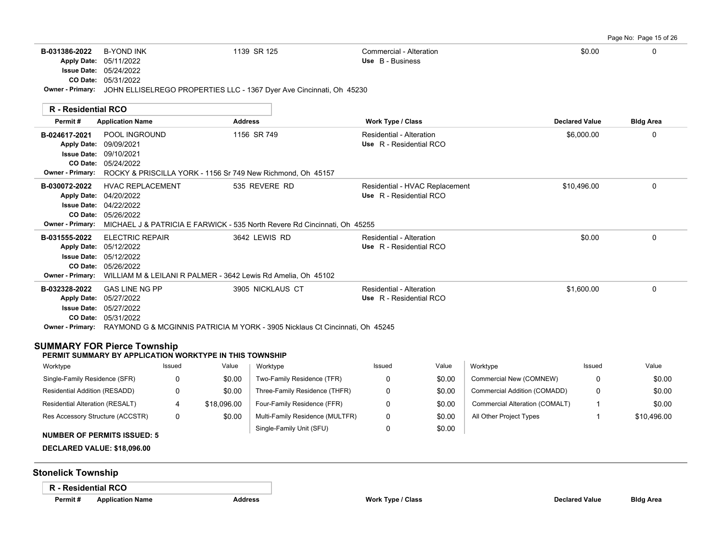| B-031386-2022                                                                                 | <b>B-YOND INK</b><br>Apply Date: 05/11/2022          |             |                | 1139 SR 125                                                                                          | Commercial - Alteration<br>Use B - Business |                                |                                | \$0.00                | $\mathbf 0$      |
|-----------------------------------------------------------------------------------------------|------------------------------------------------------|-------------|----------------|------------------------------------------------------------------------------------------------------|---------------------------------------------|--------------------------------|--------------------------------|-----------------------|------------------|
|                                                                                               | <b>Issue Date: 05/24/2022</b>                        |             |                |                                                                                                      |                                             |                                |                                |                       |                  |
|                                                                                               | CO Date: 05/31/2022                                  |             |                |                                                                                                      |                                             |                                |                                |                       |                  |
|                                                                                               |                                                      |             |                | Owner - Primary: JOHN ELLISELREGO PROPERTIES LLC - 1367 Dyer Ave Cincinnati, Oh 45230                |                                             |                                |                                |                       |                  |
| <b>R</b> - Residential RCO                                                                    |                                                      |             |                |                                                                                                      |                                             |                                |                                |                       |                  |
| Permit#                                                                                       | <b>Application Name</b>                              |             | <b>Address</b> |                                                                                                      | Work Type / Class                           |                                |                                | <b>Declared Value</b> | <b>Bldg Area</b> |
| B-024617-2021                                                                                 | POOL INGROUND                                        |             |                | 1156 SR 749                                                                                          | <b>Residential - Alteration</b>             |                                |                                | \$6,000.00            | 0                |
| Apply Date: 09/09/2021                                                                        |                                                      |             |                |                                                                                                      | Use R - Residential RCO                     |                                |                                |                       |                  |
|                                                                                               | Issue Date: 09/10/2021<br>CO Date: 05/24/2022        |             |                |                                                                                                      |                                             |                                |                                |                       |                  |
| <b>Owner - Primary:</b>                                                                       |                                                      |             |                | ROCKY & PRISCILLA YORK - 1156 Sr 749 New Richmond, Oh 45157                                          |                                             |                                |                                |                       |                  |
| B-030072-2022                                                                                 | <b>HVAC REPLACEMENT</b>                              |             |                | 535 REVERE RD                                                                                        |                                             | Residential - HVAC Replacement |                                | \$10,496.00           | $\mathbf 0$      |
|                                                                                               | Apply Date: 04/20/2022                               |             |                |                                                                                                      | Use R - Residential RCO                     |                                |                                |                       |                  |
|                                                                                               | <b>Issue Date: 04/22/2022</b>                        |             |                |                                                                                                      |                                             |                                |                                |                       |                  |
| <b>Owner - Primary:</b>                                                                       | CO Date: 05/26/2022                                  |             |                | MICHAEL J & PATRICIA E FARWICK - 535 North Revere Rd Cincinnati, Oh 45255                            |                                             |                                |                                |                       |                  |
| B-031555-2022                                                                                 | <b>ELECTRIC REPAIR</b>                               |             |                | 3642 LEWIS RD                                                                                        | <b>Residential - Alteration</b>             |                                |                                | \$0.00                | $\Omega$         |
|                                                                                               | Apply Date: 05/12/2022                               |             |                |                                                                                                      | Use R - Residential RCO                     |                                |                                |                       |                  |
|                                                                                               | <b>Issue Date: 05/12/2022</b>                        |             |                |                                                                                                      |                                             |                                |                                |                       |                  |
|                                                                                               | CO Date: 05/26/2022                                  |             |                |                                                                                                      |                                             |                                |                                |                       |                  |
| <b>Owner - Primary:</b>                                                                       |                                                      |             |                | WILLIAM M & LEILANI R PALMER - 3642 Lewis Rd Amelia, Oh 45102                                        |                                             |                                |                                |                       |                  |
| B-032328-2022                                                                                 | <b>GAS LINE NG PP</b>                                |             |                | 3905 NICKLAUS CT                                                                                     | <b>Residential - Alteration</b>             |                                |                                | \$1,600.00            | $\Omega$         |
|                                                                                               | Apply Date: 05/27/2022                               |             |                |                                                                                                      | Use R - Residential RCO                     |                                |                                |                       |                  |
|                                                                                               | <b>Issue Date: 05/27/2022</b><br>CO Date: 05/31/2022 |             |                |                                                                                                      |                                             |                                |                                |                       |                  |
|                                                                                               |                                                      |             |                | <b>Owner - Primary:</b> RAYMOND G & MCGINNIS PATRICIA M YORK - 3905 Nicklaus Ct Cincinnati, Oh 45245 |                                             |                                |                                |                       |                  |
| <b>SUMMARY FOR Pierce Township</b><br>PERMIT SUMMARY BY APPLICATION WORKTYPE IN THIS TOWNSHIP |                                                      |             |                |                                                                                                      |                                             |                                |                                |                       |                  |
| Worktype                                                                                      |                                                      | Issued      | Value          | Worktype                                                                                             | Issued                                      | Value                          | Worktype                       | Issued                | Value            |
| Single-Family Residence (SFR)                                                                 |                                                      | 0           | \$0.00         | Two-Family Residence (TFR)                                                                           | 0                                           | \$0.00                         | Commercial New (COMNEW)        | 0                     | \$0.00           |
| Residential Addition (RESADD)                                                                 |                                                      | 0           | \$0.00         | Three-Family Residence (THFR)                                                                        | 0                                           | \$0.00                         | Commercial Addition (COMADD)   | 0                     | \$0.00           |
| Residential Alteration (RESALT)                                                               |                                                      | 4           | \$18,096.00    | Four-Family Residence (FFR)                                                                          | 0                                           | \$0.00                         | Commercial Alteration (COMALT) | 1                     | \$0.00           |
| Res Accessory Structure (ACCSTR)                                                              |                                                      | $\mathbf 0$ | \$0.00         | Multi-Family Residence (MULTFR)                                                                      | 0                                           | \$0.00                         | All Other Project Types        | 1                     | \$10,496.00      |
| <b>NUMBER OF PERMITS ISSUED: 5</b>                                                            |                                                      |             |                | Single-Family Unit (SFU)                                                                             | $\Omega$                                    | \$0.00                         |                                |                       |                  |
| DECLARED VALUE: \$18,096.00                                                                   |                                                      |             |                |                                                                                                      |                                             |                                |                                |                       |                  |
|                                                                                               |                                                      |             |                |                                                                                                      |                                             |                                |                                |                       |                  |
| <b>Stonelick Township</b>                                                                     |                                                      |             |                |                                                                                                      |                                             |                                |                                |                       |                  |
| <b>R</b> - Residential RCO                                                                    |                                                      |             |                |                                                                                                      |                                             |                                |                                |                       |                  |
| Permit#                                                                                       | <b>Application Name</b>                              |             | <b>Address</b> |                                                                                                      | Work Type / Class                           |                                |                                | <b>Declared Value</b> | <b>Bldg Area</b> |
|                                                                                               |                                                      |             |                |                                                                                                      |                                             |                                |                                |                       |                  |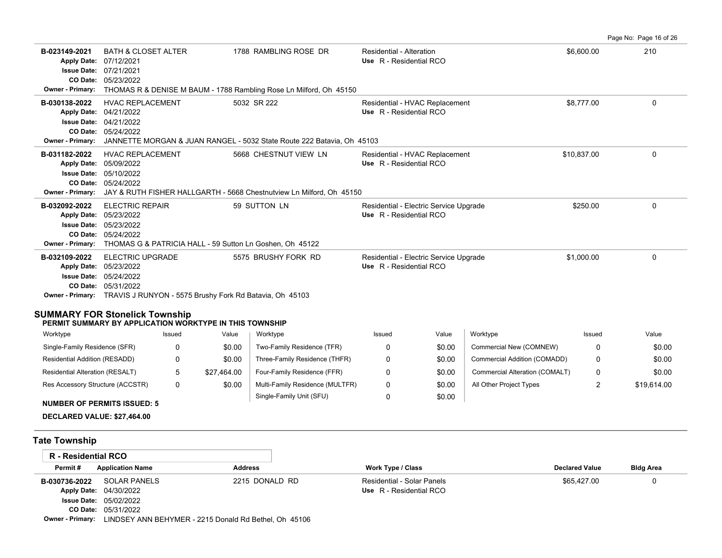Page No: Page 16 of 26 **B-023149-2021** \$6,600.00 210 BATH & CLOSET ALTER 1788 RAMBLING ROSE DR Residential - Alteration 05/23/2022 **CO Date:** 07/21/2021 **Issue Date:** Apply Date: 07/12/2021 **Apply Date: Use** R - Residential RCO **Owner - Primary:** THOMAS R & DENISE M BAUM - 1788 Rambling Rose Ln Milford, Oh 45150 **B-030138-2022** HVAC REPLACEMENT 5032 SR 222 Residential - HVAC Replacement \$8,777.00 \$8,777.00 05/24/2022 **CO Date:** 04/21/2022 **Issue Date:** 04/21/2022 **Apply Date: Use** R - Residential RCO **Owner - Primary:** JANNETTE MORGAN & JUAN RANGEL - 5032 State Route 222 Batavia, Oh 45103 **B-031182-2022** HVAC REPLACEMENT 5668 CHESTNUT VIEW LN Residential - HVAC Replacement \$10,837.00 \$10,837.00 0 0 0<br>Apply Date: 05/09/2022 05/24/2022 **CO Date:** 05/10/2022 **Issue Date:** 05/09/2022 **Apply Date: Use** R - Residential RCO Residential - HVAC Replacement **Owner - Primary:** JAY & RUTH FISHER HALLGARTH - 5668 Chestnutview Ln Milford, Oh 45150 **B-032092-2022** \$250.00 0 ELECTRIC REPAIR 59 SUTTON LN Residential - Electric Service Upgrade 05/24/2022 **CO Date:** 05/23/2022 **Issue Date:** Apply Date: 05/23/2022 **Apply Date: Use** R - Residential RCO **Owner - Primary:** THOMAS G & PATRICIA HALL - 59 Sutton Ln Goshen, Oh 45122 B-032109-2022 ELECTRIC UPGRADE 5575 BRUSHY FORK RD Residential - Electric Service Upgrade \$1,000.00 0 0 0 0 0 0 05/31/2022 **CO Date:** 05/24/2022 **Issue Date:** 05/23/2022 **Apply Date: Use** R - Residential RCO Residential - Electric Service Upgrade **Owner - Primary:** TRAVIS J RUNYON - 5575 Brushy Fork Rd Batavia, Oh 45103 **SUMMARY FOR Stonelick Township PERMIT SUMMARY BY APPLICATION WORKTYPE IN THIS TOWNSHIP**

| Worktype                               | Issued | Value       | Worktype                        | Issued | Value  | Worktype                       | Issued | Value       |
|----------------------------------------|--------|-------------|---------------------------------|--------|--------|--------------------------------|--------|-------------|
| Single-Family Residence (SFR)          |        | \$0.00      | Two-Family Residence (TFR)      |        | \$0.00 | Commercial New (COMNEW)        |        | \$0.00      |
| Residential Addition (RESADD)          |        | \$0.00      | Three-Family Residence (THFR)   |        | \$0.00 | Commercial Addition (COMADD)   |        | \$0.00      |
| <b>Residential Alteration (RESALT)</b> |        | \$27.464.00 | Four-Family Residence (FFR)     |        | \$0.00 | Commercial Alteration (COMALT) |        | \$0.00      |
| Res Accessory Structure (ACCSTR)       |        | \$0.00      | Multi-Family Residence (MULTFR) |        | \$0.00 | All Other Project Types        |        | \$19.614.00 |
|                                        |        |             | Single-Family Unit (SFU)        |        | \$0.00 |                                |        |             |

#### **NUMBER OF PERMITS ISSUED: 5**

**DECLARED VALUE: \$27,464.00**

## **Tate Township**

| R - Residential RCO     |                                                       |                |                            |                       |                  |
|-------------------------|-------------------------------------------------------|----------------|----------------------------|-----------------------|------------------|
| Permit#                 | <b>Application Name</b>                               | <b>Address</b> | Work Type / Class          | <b>Declared Value</b> | <b>Bldg Area</b> |
| B-030736-2022           | SOLAR PANELS                                          | 2215 DONALD RD | Residential - Solar Panels | \$65.427.00           |                  |
|                         | Apply Date: 04/30/2022                                |                | Use R - Residential RCO    |                       |                  |
|                         | <b>Issue Date: 05/02/2022</b>                         |                |                            |                       |                  |
|                         | <b>CO Date: 05/31/2022</b>                            |                |                            |                       |                  |
| <b>Owner - Primary:</b> | LINDSEY ANN BEHYMER - 2215 Donald Rd Bethel, Oh 45106 |                |                            |                       |                  |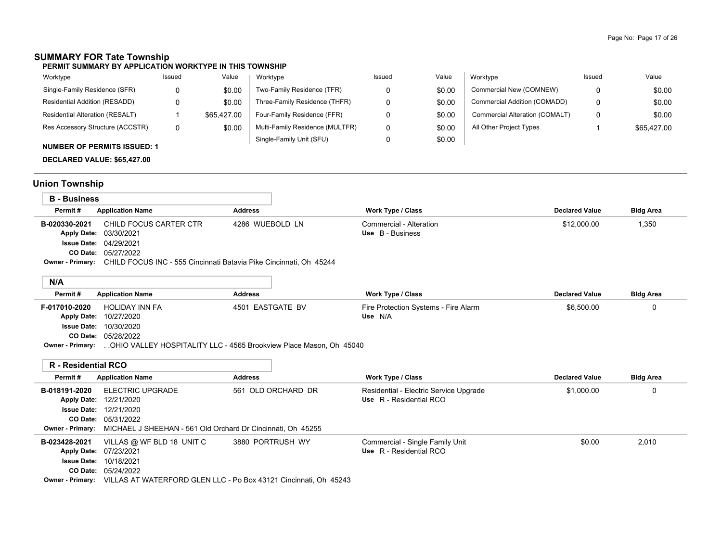# **SUMMARY FOR Tate Township**

| Worktype                           | Issued | Value       | Worktype                        | Issued | Value  | Worktype                       | Issued | Value       |
|------------------------------------|--------|-------------|---------------------------------|--------|--------|--------------------------------|--------|-------------|
| Single-Family Residence (SFR)      | 0      | \$0.00      | Two-Family Residence (TFR)      |        | \$0.00 | Commercial New (COMNEW)        |        | \$0.00      |
| Residential Addition (RESADD)      | 0      | \$0.00      | Three-Family Residence (THFR)   |        | \$0.00 | Commercial Addition (COMADD)   |        | \$0.00      |
| Residential Alteration (RESALT)    |        | \$65,427.00 | Four-Family Residence (FFR)     |        | \$0.00 | Commercial Alteration (COMALT) |        | \$0.00      |
| Res Accessory Structure (ACCSTR)   | 0      | \$0.00      | Multi-Family Residence (MULTFR) |        | \$0.00 | All Other Project Types        |        | \$65.427.00 |
| <b>NUMBER OF PERMITS ISSUED: 1</b> |        |             | Single-Family Unit (SFU)        |        | \$0.00 |                                |        |             |
|                                    |        |             |                                 |        |        |                                |        |             |

**DECLARED VALUE: \$65,427.00**

# **Union Township**

| <b>B</b> - Business |                                                                                            |                 |                         |                       |                  |
|---------------------|--------------------------------------------------------------------------------------------|-----------------|-------------------------|-----------------------|------------------|
| Permit #            | <b>Application Name</b>                                                                    | <b>Address</b>  | Work Type / Class       | <b>Declared Value</b> | <b>Bldg Area</b> |
| B-020330-2021       | CHILD FOCUS CARTER CTR                                                                     | 4286 WUEBOLD LN | Commercial - Alteration | \$12,000.00           | 1,350            |
|                     | Apply Date: 03/30/2021                                                                     |                 | Use B - Business        |                       |                  |
|                     | <b>Issue Date: 04/29/2021</b>                                                              |                 |                         |                       |                  |
|                     | <b>CO Date: 05/27/2022</b>                                                                 |                 |                         |                       |                  |
|                     | <b>Owner - Primary:</b> CHILD FOCUS INC - 555 Cincinnati Batavia Pike Cincinnati, Oh 45244 |                 |                         |                       |                  |
|                     |                                                                                            |                 |                         |                       |                  |
| N/A                 |                                                                                            |                 |                         |                       |                  |

| Permit#            | <b>Application Name</b> | <b>Address</b>                                                   | Work Type / Class                    | <b>Declared Value</b> | <b>Bldg Area</b> |
|--------------------|-------------------------|------------------------------------------------------------------|--------------------------------------|-----------------------|------------------|
| F-017010-2020      | HOLIDAY INN FA          | 4501 EASTGATE BV                                                 | Fire Protection Systems - Fire Alarm | \$6,500.00            |                  |
| <b>Apply Date:</b> | 10/27/2020              |                                                                  | Use N/A                              |                       |                  |
| <b>Issue Date:</b> | 10/30/2020              |                                                                  |                                      |                       |                  |
| CO Date:           | 05/28/2022              |                                                                  |                                      |                       |                  |
| $Q_{\text{t}}$     |                         | OUR VALLEY HOODITALITY LLO AFOR Desalviant Disas Masses Ob AFOAO |                                      |                       |                  |

**Owner - Primary:** . .OHIO VALLEY HOSPITALITY LLC - 4565 Brookview Place Mason, Oh 45040

|               | R - Residential RCO                                                                      |                    |                                                                   |                       |                  |
|---------------|------------------------------------------------------------------------------------------|--------------------|-------------------------------------------------------------------|-----------------------|------------------|
| Permit#       | <b>Application Name</b>                                                                  | <b>Address</b>     | <b>Work Type / Class</b>                                          | <b>Declared Value</b> | <b>Bldg Area</b> |
| B-018191-2020 | ELECTRIC UPGRADE<br>Apply Date: 12/21/2020                                               | 561 OLD ORCHARD DR | Residential - Electric Service Upgrade<br>Use R - Residential RCO | \$1.000.00            |                  |
|               | <b>Issue Date: 12/21/2020</b>                                                            |                    |                                                                   |                       |                  |
|               | <b>CO Date: 05/31/2022</b>                                                               |                    |                                                                   |                       |                  |
|               | <b>Owner - Primary:</b> MICHAEL J SHEEHAN - 561 Old Orchard Dr Cincinnati. Oh 45255      |                    |                                                                   |                       |                  |
| B-023428-2021 | VILLAS @ WF BLD 18 UNIT C                                                                | 3880 PORTRUSH WY   | Commercial - Single Family Unit                                   | \$0.00                | 2,010            |
|               | Apply Date: 07/23/2021                                                                   |                    | Use R - Residential RCO                                           |                       |                  |
|               | <b>Issue Date: 10/18/2021</b>                                                            |                    |                                                                   |                       |                  |
|               | CO Date: 05/24/2022                                                                      |                    |                                                                   |                       |                  |
|               | <b>Owner - Primary:</b> VILLAS AT WATERFORD GLEN LLC - Po Box 43121 Cincinnati, Oh 45243 |                    |                                                                   |                       |                  |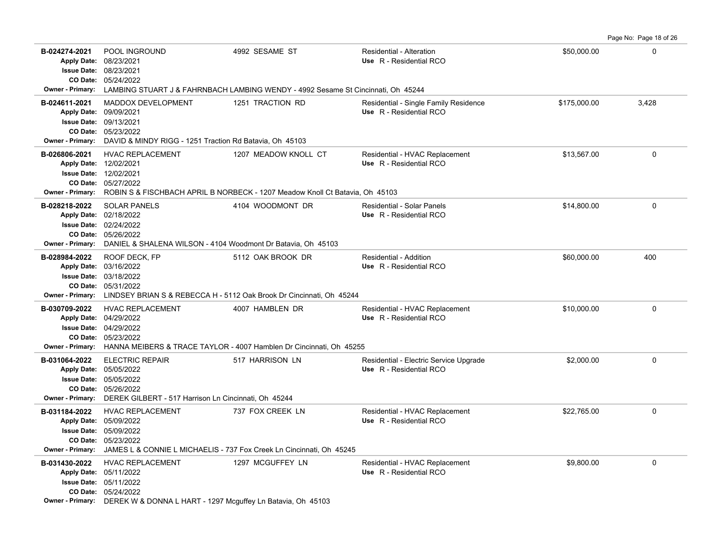**B-024274-2021** POOL INGROUND 4992 SESAME ST Residential - Alteration \$50,000.00 0 05/24/2022 **CO Date:** 08/23/2021 **Issue Date:** Apply Date: 08/23/2021 POOL INGROUND 4992 SESAME ST Residential - Alteration **Apply Date: Use** R - Residential RCO **Owner - Primary:** LAMBING STUART J & FAHRNBACH LAMBING WENDY - 4992 Sesame St Cincinnati, Oh 45244 B-024611-2021 MADDOX DEVELOPMENT 1251 TRACTION RD Residential - Single Family Residence \$175,000.00 3,428 05/23/2022 **CO Date:** 09/13/2021 **Issue Date:** 09/09/2021 **Apply Date: Use** R - Residential RCO **Owner - Primary:** DAVID & MINDY RIGG - 1251 Traction Rd Batavia, Oh 45103 **B-026806-2021** HVAC REPLACEMENT 1207 MEADOW KNOLL CT Residential - HVAC Replacement \$13,567.00 \$13,567.00 05/27/2022 **CO Date:** 12/02/2021 **Issue Date:** 12/02/2021 **Apply Date: Use** R - Residential RCO **Owner - Primary:** ROBIN S & FISCHBACH APRIL B NORBECK - 1207 Meadow Knoll Ct Batavia, Oh 45103 **B-028218-2022** \$14,800.00 0 SOLAR PANELS 4104 WOODMONT DR Residential - Solar Panels 05/26/2022 **CO Date:** 02/24/2022 **Issue Date:** Apply Date: 02/18/2022 **Apply Date: Use** R - Residential RCO **Owner - Primary:** DANIEL & SHALENA WILSON - 4104 Woodmont Dr Batavia, Oh 45103 **B-028984-2022** \$60,000.00 400 ROOF DECK, FP 5112 OAK BROOK DR Residential - Addition 05/31/2022 **CO Date:** 03/18/2022 **Issue Date:** Apply Date: 03/16/2022 **Apply Date: Use** R - Residential RCO **Owner - Primary:** LINDSEY BRIAN S & REBECCA H - 5112 Oak Brook Dr Cincinnati, Oh 45244 B-030709-2022 HVAC REPLACEMENT 4007 HAMBLEN DR Residential - HVAC Replacement \$10,000.00 \$10,000.00 0 05/23/2022 **CO Date:** 04/29/2022 **Issue Date:** Apply Date: 04/29/2022 **Apply Date: Use** R - Residential RCO **Owner - Primary:** HANNA MEIBERS & TRACE TAYLOR - 4007 Hamblen Dr Cincinnati, Oh 45255 **B-031064-2022** \$2,000.00 0 ELECTRIC REPAIR 517 HARRISON LN Residential - Electric Service Upgrade 05/26/2022 **CO Date:** 05/05/2022 **Issue Date:** Apply Date: 05/05/2022 **Apply Date: Use** R - Residential RCO **Owner - Primary:** DEREK GILBERT - 517 Harrison Ln Cincinnati, Oh 45244 **B-031184-2022** HVAC REPLACEMENT 737 FOX CREEK LN Residential - HVAC Replacement \$22,765.00 0 0 05/23/2022 **CO Date:** 05/09/2022 **Issue Date:** 05/09/2022 **Apply Date: Use** R - Residential RCO **Owner - Primary:** JAMES L & CONNIE L MICHAELIS - 737 Fox Creek Ln Cincinnati, Oh 45245 **B-031430-2022** HVAC REPLACEMENT 1297 MCGUFFEY LN Residential - HVAC Replacement \$9,800.00 \$9,800.00 0 05/24/2022 **CO Date:** 05/11/2022 **Issue Date:** Apply Date: 05/11/2022 **Apply Date: Use** R - Residential RCO **Owner - Primary:** DEREK W & DONNA L HART - 1297 Mcguffey Ln Batavia, Oh 45103

Page No: Page 18 of 26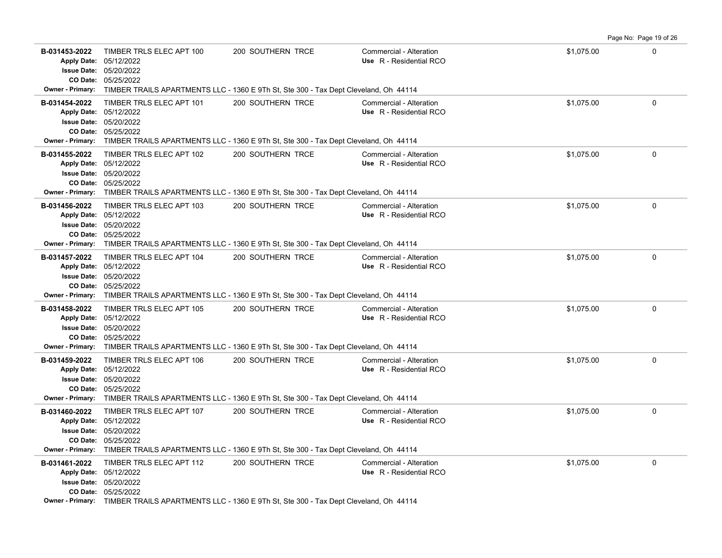|                                                                            |                                                                                                                                                                                                                            |                                                                                                           |                                                    |            | Page No: Page 19 of 26 |
|----------------------------------------------------------------------------|----------------------------------------------------------------------------------------------------------------------------------------------------------------------------------------------------------------------------|-----------------------------------------------------------------------------------------------------------|----------------------------------------------------|------------|------------------------|
| B-031453-2022                                                              | TIMBER TRLS ELEC APT 100<br>Apply Date: 05/12/2022<br><b>Issue Date: 05/20/2022</b><br>CO Date: 05/25/2022                                                                                                                 | 200 SOUTHERN TRCE                                                                                         | Commercial - Alteration<br>Use R - Residential RCO | \$1,075.00 | $\Omega$               |
| <b>Owner - Primary:</b>                                                    |                                                                                                                                                                                                                            | TIMBER TRAILS APARTMENTS LLC - 1360 E 9Th St, Ste 300 - Tax Dept Cleveland, Oh 44114                      |                                                    |            |                        |
| B-031454-2022<br><b>Owner - Primary:</b>                                   | TIMBER TRLS ELEC APT 101<br>Apply Date: 05/12/2022<br><b>Issue Date: 05/20/2022</b><br>CO Date: 05/25/2022<br>TIMBER TRAILS APARTMENTS LLC - 1360 E 9Th St, Ste 300 - Tax Dept Cleveland, Oh 44114                         | 200 SOUTHERN TRCE                                                                                         | Commercial - Alteration<br>Use R - Residential RCO | \$1,075.00 | $\Omega$               |
| B-031455-2022<br><b>Issue Date:</b><br>CO Date:<br><b>Owner - Primary:</b> | TIMBER TRLS ELEC APT 102<br>Apply Date: 05/12/2022<br>05/20/2022<br>05/25/2022                                                                                                                                             | 200 SOUTHERN TRCE<br>TIMBER TRAILS APARTMENTS LLC - 1360 E 9Th St, Ste 300 - Tax Dept Cleveland, Oh 44114 | Commercial - Alteration<br>Use R - Residential RCO | \$1,075.00 | 0                      |
| B-031456-2022<br><b>Owner - Primary:</b>                                   | TIMBER TRLS ELEC APT 103<br>Apply Date: 05/12/2022<br><b>Issue Date: 05/20/2022</b><br>CO Date: 05/25/2022<br>TIMBER TRAILS APARTMENTS LLC - 1360 E 9Th St, Ste 300 - Tax Dept Cleveland, Oh 44114                         | 200 SOUTHERN TRCE                                                                                         | Commercial - Alteration<br>Use R - Residential RCO | \$1,075.00 | $\Omega$               |
| B-031457-2022                                                              | TIMBER TRLS ELEC APT 104<br>Apply Date: 05/12/2022<br><b>Issue Date: 05/20/2022</b><br>CO Date: 05/25/2022<br><b>Owner - Primary:</b> TIMBER TRAILS APARTMENTS LLC - 1360 E 9Th St, Ste 300 - Tax Dept Cleveland, Oh 44114 | 200 SOUTHERN TRCE                                                                                         | Commercial - Alteration<br>Use R - Residential RCO | \$1,075.00 | $\mathbf 0$            |
| B-031458-2022<br>CO Date:                                                  | TIMBER TRLS ELEC APT 105<br>Apply Date: 05/12/2022<br><b>Issue Date: 05/20/2022</b><br>05/25/2022<br>Owner - Primary: TIMBER TRAILS APARTMENTS LLC - 1360 E 9Th St, Ste 300 - Tax Dept Cleveland, Oh 44114                 | 200 SOUTHERN TRCE                                                                                         | Commercial - Alteration<br>Use R - Residential RCO | \$1,075.00 | 0                      |
| B-031459-2022<br><b>Owner - Primary:</b>                                   | TIMBER TRLS ELEC APT 106<br>Apply Date: 05/12/2022<br><b>Issue Date: 05/20/2022</b><br>CO Date: 05/25/2022<br>TIMBER TRAILS APARTMENTS LLC - 1360 E 9Th St, Ste 300 - Tax Dept Cleveland, Oh 44114                         | 200 SOUTHERN TRCE                                                                                         | Commercial - Alteration<br>Use R - Residential RCO | \$1,075.00 | $\mathbf 0$            |
| B-031460-2022<br><b>Owner - Primary:</b>                                   | TIMBER TRLS ELEC APT 107<br>Apply Date: 05/12/2022<br><b>Issue Date: 05/20/2022</b><br>CO Date: 05/25/2022<br>TIMBER TRAILS APARTMENTS LLC - 1360 E 9Th St, Ste 300 - Tax Dept Cleveland, Oh 44114                         | 200 SOUTHERN TRCE                                                                                         | Commercial - Alteration<br>Use R - Residential RCO | \$1,075.00 | 0                      |
| B-031461-2022                                                              | TIMBER TRLS ELEC APT 112<br>Apply Date: 05/12/2022<br>Issue Date: 05/20/2022<br>CO Date: 05/25/2022<br>Owner - Primary: TIMBER TRAILS APARTMENTS LLC - 1360 E 9Th St, Ste 300 - Tax Dept Cleveland, Oh 44114               | 200 SOUTHERN TRCE                                                                                         | Commercial - Alteration<br>Use R - Residential RCO | \$1,075.00 | $\Omega$               |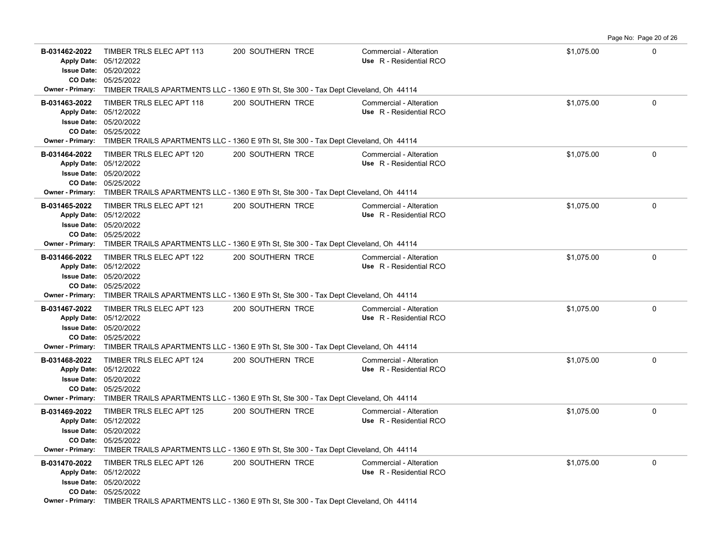| B-031462-2022<br>CO Date:<br><b>Owner - Primary:</b> | TIMBER TRLS ELEC APT 113<br>Apply Date: 05/12/2022<br><b>Issue Date: 05/20/2022</b><br>05/25/2022          | 200 SOUTHERN TRCE<br>TIMBER TRAILS APARTMENTS LLC - 1360 E 9Th St, Ste 300 - Tax Dept Cleveland, Oh 44114                         | Commercial - Alteration<br>Use R - Residential RCO | \$1,075.00 | $\Omega$    |
|------------------------------------------------------|------------------------------------------------------------------------------------------------------------|-----------------------------------------------------------------------------------------------------------------------------------|----------------------------------------------------|------------|-------------|
| B-031463-2022                                        | TIMBER TRLS ELEC APT 118<br>Apply Date: 05/12/2022<br><b>Issue Date: 05/20/2022</b><br>CO Date: 05/25/2022 | 200 SOUTHERN TRCE<br><b>Owner - Primary:</b> TIMBER TRAILS APARTMENTS LLC - 1360 E 9Th St, Ste 300 - Tax Dept Cleveland, Oh 44114 | Commercial - Alteration<br>Use R - Residential RCO | \$1,075.00 | 0           |
| B-031464-2022<br><b>Owner - Primary:</b>             | TIMBER TRLS ELEC APT 120<br>Apply Date: 05/12/2022<br><b>Issue Date: 05/20/2022</b><br>CO Date: 05/25/2022 | 200 SOUTHERN TRCE<br>TIMBER TRAILS APARTMENTS LLC - 1360 E 9Th St, Ste 300 - Tax Dept Cleveland, Oh 44114                         | Commercial - Alteration<br>Use R - Residential RCO | \$1,075.00 | 0           |
| B-031465-2022<br>CO Date:                            | TIMBER TRLS ELEC APT 121<br>Apply Date: 05/12/2022<br><b>Issue Date: 05/20/2022</b><br>05/25/2022          | 200 SOUTHERN TRCE<br><b>Owner - Primary:</b> TIMBER TRAILS APARTMENTS LLC - 1360 E 9Th St, Ste 300 - Tax Dept Cleveland, Oh 44114 | Commercial - Alteration<br>Use R - Residential RCO | \$1,075.00 | 0           |
| B-031466-2022<br><b>Owner - Primary:</b>             | TIMBER TRLS ELEC APT 122<br>Apply Date: 05/12/2022<br><b>Issue Date: 05/20/2022</b><br>CO Date: 05/25/2022 | 200 SOUTHERN TRCE<br>TIMBER TRAILS APARTMENTS LLC - 1360 E 9Th St, Ste 300 - Tax Dept Cleveland, Oh 44114                         | Commercial - Alteration<br>Use R - Residential RCO | \$1,075.00 | $\Omega$    |
| B-031467-2022<br><b>Owner - Primary:</b>             | TIMBER TRLS ELEC APT 123<br>Apply Date: 05/12/2022<br><b>Issue Date: 05/20/2022</b><br>CO Date: 05/25/2022 | 200 SOUTHERN TRCE<br>TIMBER TRAILS APARTMENTS LLC - 1360 E 9Th St, Ste 300 - Tax Dept Cleveland, Oh 44114                         | Commercial - Alteration<br>Use R - Residential RCO | \$1,075.00 | 0           |
| B-031468-2022                                        | TIMBER TRLS ELEC APT 124<br>Apply Date: 05/12/2022<br><b>Issue Date: 05/20/2022</b><br>CO Date: 05/25/2022 | 200 SOUTHERN TRCE<br>Owner - Primary: TIMBER TRAILS APARTMENTS LLC - 1360 E 9Th St, Ste 300 - Tax Dept Cleveland, Oh 44114        | Commercial - Alteration<br>Use R - Residential RCO | \$1,075.00 | $\mathbf 0$ |
| B-031469-2022                                        | TIMBER TRLS ELEC APT 125<br>Apply Date: 05/12/2022<br><b>Issue Date: 05/20/2022</b><br>CO Date: 05/25/2022 | 200 SOUTHERN TRCE<br>Owner - Primary: TIMBER TRAILS APARTMENTS LLC - 1360 E 9Th St, Ste 300 - Tax Dept Cleveland, Oh 44114        | Commercial - Alteration<br>Use R - Residential RCO | \$1,075.00 | $\pmb{0}$   |
| B-031470-2022                                        | TIMBER TRLS ELEC APT 126<br>Apply Date: 05/12/2022<br><b>Issue Date: 05/20/2022</b><br>CO Date: 05/25/2022 | 200 SOUTHERN TRCE<br><b>Owner - Primary:</b> TIMBER TRAILS APARTMENTS LLC - 1360 F 9Th St Ste 300 - Tax Dent Cleveland Oh 44114   | Commercial - Alteration<br>Use R - Residential RCO | \$1,075.00 | 0           |

Page No: Page 20 of 26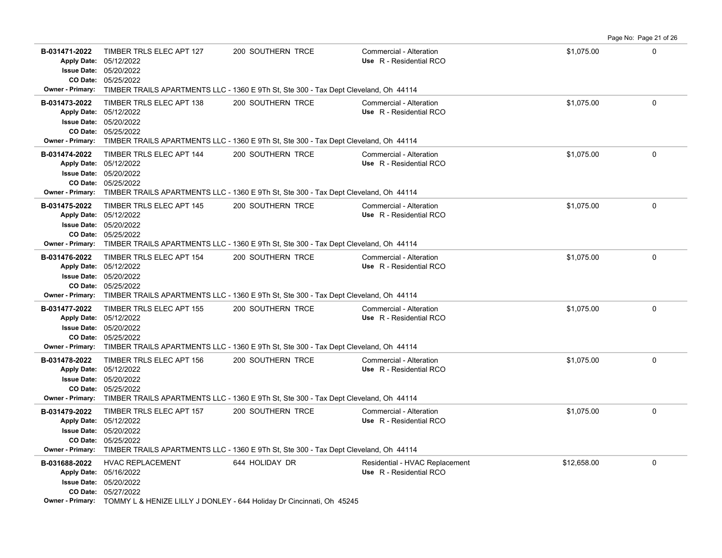|                                                      |                                                                                                            |                                                                                                                                   |                                                           |             | Page No: Page 21 of 26 |
|------------------------------------------------------|------------------------------------------------------------------------------------------------------------|-----------------------------------------------------------------------------------------------------------------------------------|-----------------------------------------------------------|-------------|------------------------|
| B-031471-2022<br><b>Owner - Primary:</b>             | TIMBER TRLS ELEC APT 127<br>Apply Date: 05/12/2022<br><b>Issue Date: 05/20/2022</b><br>CO Date: 05/25/2022 | 200 SOUTHERN TRCE                                                                                                                 | Commercial - Alteration<br>Use R - Residential RCO        | \$1,075.00  | $\Omega$               |
|                                                      |                                                                                                            | TIMBER TRAILS APARTMENTS LLC - 1360 E 9Th St, Ste 300 - Tax Dept Cleveland, Oh 44114                                              |                                                           |             |                        |
| B-031473-2022                                        | TIMBER TRLS ELEC APT 138<br>Apply Date: 05/12/2022<br><b>Issue Date: 05/20/2022</b><br>CO Date: 05/25/2022 | 200 SOUTHERN TRCE<br>Owner - Primary: TIMBER TRAILS APARTMENTS LLC - 1360 E 9Th St, Ste 300 - Tax Dept Cleveland, Oh 44114        | Commercial - Alteration<br>Use R - Residential RCO        | \$1,075.00  | $\Omega$               |
| B-031474-2022<br>CO Date:<br><b>Owner - Primary:</b> | TIMBER TRLS ELEC APT 144<br>Apply Date: 05/12/2022<br><b>Issue Date: 05/20/2022</b><br>05/25/2022          | 200 SOUTHERN TRCE<br>TIMBER TRAILS APARTMENTS LLC - 1360 E 9Th St, Ste 300 - Tax Dept Cleveland, Oh 44114                         | Commercial - Alteration<br>Use R - Residential RCO        | \$1,075.00  | $\Omega$               |
| B-031475-2022<br><b>Owner - Primary:</b>             | TIMBER TRLS ELEC APT 145<br>Apply Date: 05/12/2022<br><b>Issue Date: 05/20/2022</b><br>CO Date: 05/25/2022 | 200 SOUTHERN TRCE<br>TIMBER TRAILS APARTMENTS LLC - 1360 E 9Th St, Ste 300 - Tax Dept Cleveland, Oh 44114                         | Commercial - Alteration<br>Use R - Residential RCO        | \$1,075.00  | 0                      |
| B-031476-2022                                        | TIMBER TRLS ELEC APT 154<br>Apply Date: 05/12/2022<br><b>Issue Date: 05/20/2022</b><br>CO Date: 05/25/2022 | 200 SOUTHERN TRCE<br><b>Owner - Primary:</b> TIMBER TRAILS APARTMENTS LLC - 1360 E 9Th St, Ste 300 - Tax Dept Cleveland, Oh 44114 | Commercial - Alteration<br>Use R - Residential RCO        | \$1,075.00  | $\mathbf 0$            |
| B-031477-2022                                        | TIMBER TRLS ELEC APT 155<br>Apply Date: 05/12/2022<br><b>Issue Date: 05/20/2022</b><br>CO Date: 05/25/2022 | 200 SOUTHERN TRCE<br>Owner - Primary: TIMBER TRAILS APARTMENTS LLC - 1360 E 9Th St, Ste 300 - Tax Dept Cleveland, Oh 44114        | Commercial - Alteration<br>Use R - Residential RCO        | \$1,075.00  | 0                      |
| B-031478-2022                                        | TIMBER TRLS ELEC APT 156<br>Apply Date: 05/12/2022<br><b>Issue Date: 05/20/2022</b><br>CO Date: 05/25/2022 | 200 SOUTHERN TRCE<br>Owner - Primary: TIMBER TRAILS APARTMENTS LLC - 1360 E 9Th St, Ste 300 - Tax Dept Cleveland, Oh 44114        | Commercial - Alteration<br>Use R - Residential RCO        | \$1,075.00  | $\mathbf 0$            |
| B-031479-2022                                        | TIMBER TRLS ELEC APT 157<br>Apply Date: 05/12/2022<br><b>Issue Date: 05/20/2022</b><br>CO Date: 05/25/2022 | 200 SOUTHERN TRCE<br>Owner - Primary: TIMBER TRAILS APARTMENTS LLC - 1360 E 9Th St, Ste 300 - Tax Dept Cleveland, Oh 44114        | Commercial - Alteration<br>Use R - Residential RCO        | \$1,075.00  | 0                      |
| B-031688-2022                                        | <b>HVAC REPLACEMENT</b><br>Apply Date: 05/16/2022<br>Issue Date: 05/20/2022<br>CO Date: 05/27/2022         | 644 HOLIDAY DR<br>Owner - Primary: TOMMY L & HENIZE LILLY J DONLEY - 644 Holiday Dr Cincinnati, Oh 45245                          | Residential - HVAC Replacement<br>Use R - Residential RCO | \$12,658.00 | $\mathbf 0$            |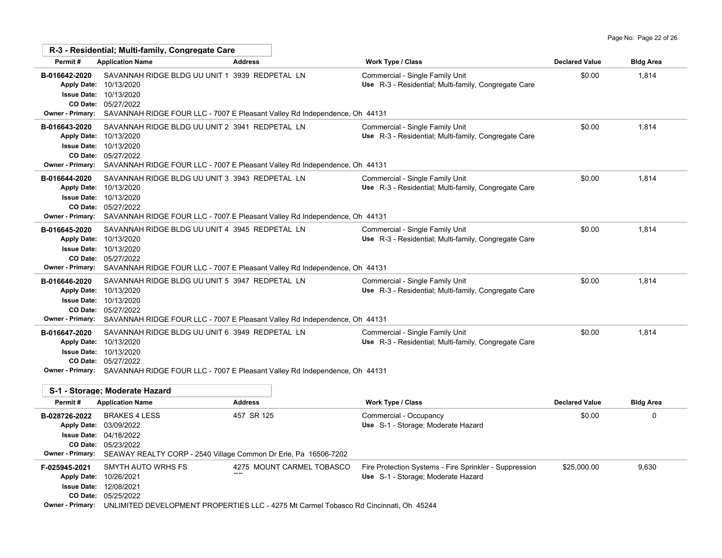|                                                                | R-3 - Residential: Multi-family, Congregate Care                                                                                                                                                                                |                                                                            |                                                                                         |                       |                  |
|----------------------------------------------------------------|---------------------------------------------------------------------------------------------------------------------------------------------------------------------------------------------------------------------------------|----------------------------------------------------------------------------|-----------------------------------------------------------------------------------------|-----------------------|------------------|
| Permit#                                                        | <b>Application Name</b>                                                                                                                                                                                                         | <b>Address</b>                                                             | Work Type / Class                                                                       | <b>Declared Value</b> | <b>Bldg Area</b> |
| B-016642-2020<br><b>Owner - Primary:</b>                       | SAVANNAH RIDGE BLDG UU UNIT 1 3939 REDPETAL LN<br>Apply Date: 10/13/2020<br><b>Issue Date: 10/13/2020</b><br>CO Date: 05/27/2022<br>SAVANNAH RIDGE FOUR LLC - 7007 E Pleasant Valley Rd Independence, Oh 44131                  |                                                                            | Commercial - Single Family Unit<br>Use R-3 - Residential; Multi-family, Congregate Care | \$0.00                | 1,814            |
| B-016643-2020<br><b>Owner - Primary:</b>                       | SAVANNAH RIDGE BLDG UU UNIT 2 3941 REDPETAL LN<br>Apply Date: 10/13/2020<br><b>Issue Date: 10/13/2020</b><br>CO Date: 05/27/2022                                                                                                | SAVANNAH RIDGE FOUR LLC - 7007 E Pleasant Valley Rd Independence, Oh 44131 | Commercial - Single Family Unit<br>Use R-3 - Residential; Multi-family, Congregate Care | \$0.00                | 1,814            |
| B-016644-2020<br><b>Owner - Primary:</b>                       | SAVANNAH RIDGE BLDG UU UNIT 3 3943 REDPETAL LN<br>Apply Date: 10/13/2020<br><b>Issue Date: 10/13/2020</b><br>CO Date: 05/27/2022<br>SAVANNAH RIDGE FOUR LLC - 7007 E Pleasant Valley Rd Independence, Oh 44131                  |                                                                            | Commercial - Single Family Unit<br>Use R-3 - Residential; Multi-family, Congregate Care | \$0.00                | 1,814            |
| B-016645-2020<br><b>Owner - Primary:</b>                       | SAVANNAH RIDGE BLDG UU UNIT 4 3945 REDPETAL LN<br>Apply Date: 10/13/2020<br><b>Issue Date: 10/13/2020</b><br>CO Date: 05/27/2022                                                                                                | SAVANNAH RIDGE FOUR LLC - 7007 E Pleasant Valley Rd Independence, Oh 44131 | Commercial - Single Family Unit<br>Use R-3 - Residential; Multi-family, Congregate Care | \$0.00                | 1,814            |
| B-016646-2020<br><b>Apply Date:</b><br><b>Owner - Primary:</b> | SAVANNAH RIDGE BLDG UU UNIT 5 3947 REDPETAL LN<br>10/13/2020<br><b>Issue Date: 10/13/2020</b><br>CO Date: 05/27/2022<br>SAVANNAH RIDGE FOUR LLC - 7007 E Pleasant Valley Rd Independence, Oh 44131                              |                                                                            | Commercial - Single Family Unit<br>Use R-3 - Residential; Multi-family, Congregate Care | \$0.00                | 1.814            |
| B-016647-2020                                                  | SAVANNAH RIDGE BLDG UU UNIT 6 3949 REDPETAL LN<br>Apply Date: 10/13/2020<br><b>Issue Date: 10/13/2020</b><br>CO Date: 05/27/2022<br>Owner - Primary: SAVANNAH RIDGE FOUR LLC - 7007 E Pleasant Valley Rd Independence, Oh 44131 |                                                                            | Commercial - Single Family Unit<br>Use R-3 - Residential; Multi-family, Congregate Care | \$0.00                | 1,814            |
|                                                                | S-1 - Storage: Moderate Hazard                                                                                                                                                                                                  |                                                                            |                                                                                         |                       |                  |
| Permit#                                                        | <b>Application Name</b>                                                                                                                                                                                                         | <b>Address</b>                                                             | Work Type / Class                                                                       | <b>Declared Value</b> | <b>Bldg Area</b> |
| B-028726-2022                                                  | <b>BRAKES 4 LESS</b><br>Apply Date: 03/09/2022<br><b>Issue Date: 04/18/2022</b><br>CO Date: 05/23/2022<br>Owner - Primary: SEAWAY REALTY CORP - 2540 Village Common Dr Erie, Pa 16506-7202                                      | 457 SR 125                                                                 | Commercial - Occupancy<br>Use S-1 - Storage; Moderate Hazard                            | \$0.00                | $\Omega$         |

| F-025945-2021          | SMYTH AUTO WRHS FS            | 4275 MOUNT CARMEL TOBASCO | Fire Protection Systems - Fire Sprinkler - Suppression | \$25,000.00 | 9,630 |
|------------------------|-------------------------------|---------------------------|--------------------------------------------------------|-------------|-------|
| Apply Date: 10/26/2021 |                               | $- -$                     | Use S-1 - Storage; Moderate Hazard                     |             |       |
|                        | <b>Issue Date: 12/08/2021</b> |                           |                                                        |             |       |

05/25/2022 **CO Date:**

**Owner - Primary:** UNLIMITED DEVELOPMENT PROPERTIES LLC - 4275 Mt Carmel Tobasco Rd Cincinnati, Oh 45244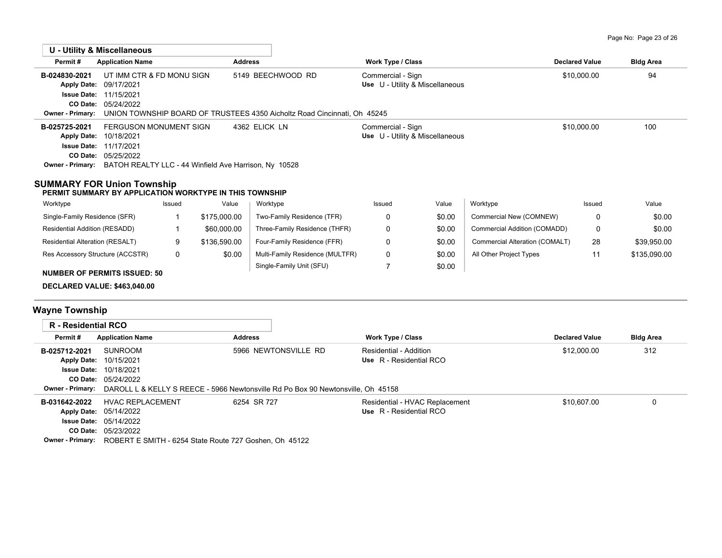|                                                                                                                                                    | <b>U - Utility &amp; Miscellaneous</b>                                                              |        |                |                                                                                                          |                                                          |                                 |                                |                       |                  |
|----------------------------------------------------------------------------------------------------------------------------------------------------|-----------------------------------------------------------------------------------------------------|--------|----------------|----------------------------------------------------------------------------------------------------------|----------------------------------------------------------|---------------------------------|--------------------------------|-----------------------|------------------|
| Permit#                                                                                                                                            | <b>Application Name</b>                                                                             |        | <b>Address</b> |                                                                                                          | <b>Work Type / Class</b>                                 |                                 |                                | <b>Declared Value</b> | <b>Bldg Area</b> |
| B-024830-2021<br>CO Date:<br><b>Owner - Primary:</b>                                                                                               | UT IMM CTR & FD MONU SIGN<br>Apply Date: 09/17/2021<br><b>Issue Date: 11/15/2021</b><br>05/24/2022  |        |                | 5149 BEECHWOOD RD<br>UNION TOWNSHIP BOARD OF TRUSTEES 4350 Aicholtz Road Cincinnati, Oh 45245            | Commercial - Sign                                        | Use U - Utility & Miscellaneous |                                | \$10,000.00           | 94               |
| B-025725-2021<br><b>Apply Date:</b><br>Owner - Primary: BATOH REALTY LLC - 44 Winfield Ave Harrison, Ny 10528<br><b>SUMMARY FOR Union Township</b> | <b>FERGUSON MONUMENT SIGN</b><br>10/18/2021<br><b>Issue Date: 11/17/2021</b><br>CO Date: 05/25/2022 |        |                | 4362 ELICK LN                                                                                            | Commercial - Sign                                        | Use U - Utility & Miscellaneous |                                | \$10,000.00           | 100              |
| PERMIT SUMMARY BY APPLICATION WORKTYPE IN THIS TOWNSHIP                                                                                            |                                                                                                     |        |                |                                                                                                          |                                                          |                                 |                                |                       |                  |
| Worktype                                                                                                                                           |                                                                                                     | Issued | Value          | Worktype                                                                                                 | Issued                                                   | Value                           | Worktype                       | Issued                | Value            |
| Single-Family Residence (SFR)                                                                                                                      |                                                                                                     | -1     | \$175,000.00   | Two-Family Residence (TFR)                                                                               | 0                                                        | \$0.00                          | Commercial New (COMNEW)        | $\Omega$              | \$0.00           |
| Residential Addition (RESADD)                                                                                                                      |                                                                                                     | 1      | \$60,000.00    | Three-Family Residence (THFR)                                                                            | 0                                                        | \$0.00                          | Commercial Addition (COMADD)   | $\Omega$              | \$0.00           |
| Residential Alteration (RESALT)                                                                                                                    |                                                                                                     | 9      | \$136,590.00   | Four-Family Residence (FFR)                                                                              | 0                                                        | \$0.00                          | Commercial Alteration (COMALT) | 28                    | \$39,950.00      |
| Res Accessory Structure (ACCSTR)                                                                                                                   |                                                                                                     | 0      | \$0.00         | Multi-Family Residence (MULTFR)                                                                          | 0                                                        | \$0.00                          | All Other Project Types        | 11                    | \$135,090.00     |
| <b>NUMBER OF PERMITS ISSUED: 50</b><br>DECLARED VALUE: \$463,040.00                                                                                |                                                                                                     |        |                | Single-Family Unit (SFU)                                                                                 | 7                                                        | \$0.00                          |                                |                       |                  |
| <b>Wayne Township</b>                                                                                                                              |                                                                                                     |        |                |                                                                                                          |                                                          |                                 |                                |                       |                  |
| <b>R</b> - Residential RCO                                                                                                                         |                                                                                                     |        |                |                                                                                                          |                                                          |                                 |                                |                       |                  |
| Permit#                                                                                                                                            | <b>Application Name</b>                                                                             |        | <b>Address</b> |                                                                                                          | <b>Work Type / Class</b>                                 |                                 |                                | <b>Declared Value</b> | <b>Bldg Area</b> |
| B-025712-2021<br><b>Apply Date:</b><br><b>Issue Date:</b><br>CO Date:<br><b>Owner - Primary:</b>                                                   | <b>SUNROOM</b><br>10/15/2021<br>10/18/2021<br>05/24/2022                                            |        |                | 5966 NEWTONSVILLE RD<br>DAROLL L & KELLY S REECE - 5966 Newtonsville Rd Po Box 90 Newtonsville, Oh 45158 | <b>Residential - Addition</b><br>Use R - Residential RCO |                                 |                                | \$12,000.00           | 312              |
| B-031642-2022                                                                                                                                      | <b>HVAC REPLACEMENT</b><br>Apply Date: 05/14/2022                                                   |        |                | 6254 SR 727                                                                                              | Use R - Residential RCO                                  | Residential - HVAC Replacement  |                                | \$10,607.00           | 0                |

05/23/2022 **CO Date: Owner - Primary:** ROBERT E SMITH - 6254 State Route 727 Goshen, Oh 45122

05/14/2022 **Issue Date:**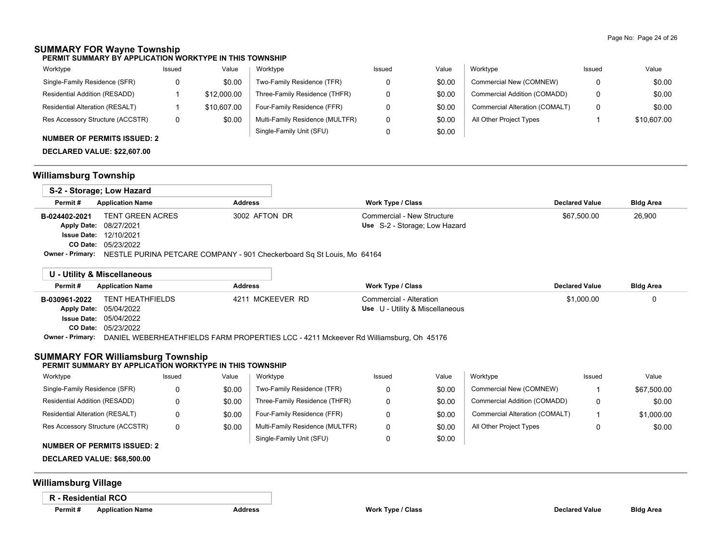# **SUMMARY FOR Wayne Township**

**PERMIT SUMMARY BY APPLICATION WORKTYPE IN THIS TOWNSHIP**

| Worktype                                                                                                                                                                                                                                                                                                                                                                                                               | Issued | Value       | Worktype                        | Issued | Value  | Worktype                       | Issued | Value       |
|------------------------------------------------------------------------------------------------------------------------------------------------------------------------------------------------------------------------------------------------------------------------------------------------------------------------------------------------------------------------------------------------------------------------|--------|-------------|---------------------------------|--------|--------|--------------------------------|--------|-------------|
| Single-Family Residence (SFR)                                                                                                                                                                                                                                                                                                                                                                                          |        | \$0.00      | Two-Family Residence (TFR)      |        | \$0.00 | Commercial New (COMNEW)        | 0      | \$0.00      |
| Residential Addition (RESADD)                                                                                                                                                                                                                                                                                                                                                                                          |        | \$12,000.00 | Three-Family Residence (THFR)   |        | \$0.00 | Commercial Addition (COMADD)   | 0      | \$0.00      |
| Residential Alteration (RESALT)                                                                                                                                                                                                                                                                                                                                                                                        |        | \$10,607.00 | Four-Family Residence (FFR)     |        | \$0.00 | Commercial Alteration (COMALT) | 0      | \$0.00      |
| Res Accessory Structure (ACCSTR)                                                                                                                                                                                                                                                                                                                                                                                       | 0      | \$0.00      | Multi-Family Residence (MULTFR) |        | \$0.00 | All Other Project Types        |        | \$10,607.00 |
| $\mathbf{A} \mathbf{B} \mathbf{A} \mathbf{B} \mathbf{A} \mathbf{B} \mathbf{A} \mathbf{B} \mathbf{A} \mathbf{A} \mathbf{A} \mathbf{A} \mathbf{A} \mathbf{A} \mathbf{A} \mathbf{A} \mathbf{A} \mathbf{A} \mathbf{A} \mathbf{A} \mathbf{A} \mathbf{A} \mathbf{A} \mathbf{A} \mathbf{A} \mathbf{A} \mathbf{A} \mathbf{A} \mathbf{A} \mathbf{A} \mathbf{A} \mathbf{A} \mathbf{A} \mathbf{A} \mathbf{A} \mathbf{A} \mathbf{$ |        |             | Single-Family Unit (SFU)        |        | \$0.00 |                                |        |             |

## **NUMBER OF PERMITS ISSUED: 2**

**DECLARED VALUE: \$22,607.00**

## **Williamsburg Township**

|               | S-2 - Storage; Low Hazard                                                               |                |                               |                       |                  |
|---------------|-----------------------------------------------------------------------------------------|----------------|-------------------------------|-----------------------|------------------|
| Permit#       | <b>Application Name</b>                                                                 | <b>Address</b> | <b>Work Type / Class</b>      | <b>Declared Value</b> | <b>Bldg Area</b> |
| B-024402-2021 | TENT GREEN ACRES                                                                        | 3002 AFTON DR  | Commercial - New Structure    | \$67.500.00           | 26,900           |
|               | Apply Date: 08/27/2021                                                                  |                | Use S-2 - Storage; Low Hazard |                       |                  |
|               | <b>Issue Date: 12/10/2021</b>                                                           |                |                               |                       |                  |
|               | <b>CO Date: 05/23/2022</b>                                                              |                |                               |                       |                  |
|               | Owner - Primary: NESTLE PURINA PETCARE COMPANY - 901 Checkerboard Sq St Louis, Mo 64164 |                |                               |                       |                  |

|                  | U - Utility & Miscellaneous   |                                                                                       |                                 |                       |                  |
|------------------|-------------------------------|---------------------------------------------------------------------------------------|---------------------------------|-----------------------|------------------|
| Permit#          | <b>Application Name</b>       | <b>Address</b>                                                                        | Work Type / Class               | <b>Declared Value</b> | <b>Bldg Area</b> |
| B-030961-2022    | TENT HEATHFIELDS              | 4211 MCKEEVER RD                                                                      | Commercial - Alteration         | \$1,000.00            |                  |
|                  | Apply Date: 05/04/2022        |                                                                                       | Use U - Utility & Miscellaneous |                       |                  |
|                  | <b>Issue Date: 05/04/2022</b> |                                                                                       |                                 |                       |                  |
|                  | <b>CO Date: 05/23/2022</b>    |                                                                                       |                                 |                       |                  |
| Owner - Primary: |                               | DANIEL WEBERHEATHFIELDS FARM PROPERTIES LCC - 4211 Mckeever Rd Williamsburg, Oh 45176 |                                 |                       |                  |

## **SUMMARY FOR Williamsburg Township**

#### **PERMIT SUMMARY BY APPLICATION WORKTYPE IN THIS TOWNSHIP**

| Worktype                           | Issued | Value  | Worktype                        | Issued | Value  | Worktype                       | Issued | Value       |
|------------------------------------|--------|--------|---------------------------------|--------|--------|--------------------------------|--------|-------------|
| Single-Family Residence (SFR)      |        | \$0.00 | Two-Family Residence (TFR)      |        | \$0.00 | Commercial New (COMNEW)        |        | \$67,500.00 |
| Residential Addition (RESADD)      | υ      | \$0.00 | Three-Family Residence (THFR)   |        | \$0.00 | Commercial Addition (COMADD)   |        | \$0.00      |
| Residential Alteration (RESALT)    | υ      | \$0.00 | Four-Family Residence (FFR)     |        | \$0.00 | Commercial Alteration (COMALT) |        | \$1,000.00  |
| Res Accessory Structure (ACCSTR)   | 0      | \$0.00 | Multi-Family Residence (MULTFR) |        | \$0.00 | All Other Project Types        |        | \$0.00      |
| <b>NUMBER OF PERMITS ISSUED: 2</b> |        |        | Single-Family Unit (SFU)        |        | \$0.00 |                                |        |             |

## **DECLARED VALUE: \$68,500.00**

## **Williamsburg Village**

#### **R - Residential RCO**

| Applicatio |
|------------|
|            |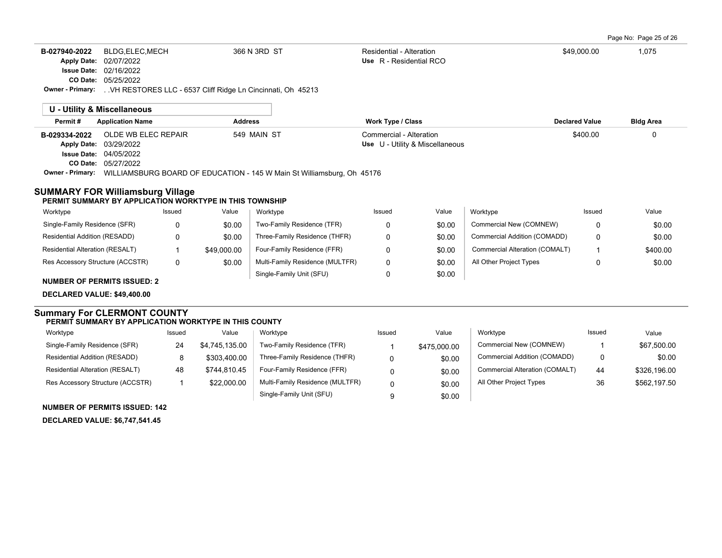Page No: Page 25 of 26

| <b>U - Utility &amp; Miscellaneous</b><br><b>Address</b><br><b>Declared Value</b><br>Permit#<br><b>Application Name</b><br>Work Type / Class<br>OLDE WB ELEC REPAIR<br>549 MAIN ST<br>Commercial - Alteration<br>\$400.00<br>B-029334-2022<br>Apply Date: 03/29/2022<br>Use U - Utility & Miscellaneous<br><b>Issue Date: 04/05/2022</b><br>CO Date: 05/27/2022<br><b>Owner - Primary:</b><br>WILLIAMSBURG BOARD OF EDUCATION - 145 W Main St Williamsburg, Oh 45176<br><b>SUMMARY FOR Williamsburg Village</b><br>PERMIT SUMMARY BY APPLICATION WORKTYPE IN THIS TOWNSHIP<br>Value<br>Worktype<br>Worktype<br>Issued<br>Value<br>Worktype<br>Issued<br>Issued<br>Single-Family Residence (SFR)<br>Two-Family Residence (TFR)<br>Commercial New (COMNEW)<br>0<br>\$0.00<br>0<br>\$0.00<br>0<br>\$0.00<br>Three-Family Residence (THFR)<br>Commercial Addition (COMADD)<br>Residential Addition (RESADD)<br>0<br>0<br>\$0.00<br>0<br>Residential Alteration (RESALT)<br>Commercial Alteration (COMALT)<br>$\mathbf{1}$<br>\$49,000.00<br>Four-Family Residence (FFR)<br>$\mathbf 0$<br>\$0.00<br>$\mathbf{1}$<br>Res Accessory Structure (ACCSTR)<br>Multi-Family Residence (MULTFR)<br>$\mathbf 0$<br>All Other Project Types<br>0<br>\$0.00<br>\$0.00<br>$\mathbf 0$<br>Single-Family Unit (SFU)<br>$\mathbf 0$<br>\$0.00<br><b>NUMBER OF PERMITS ISSUED: 2</b><br>DECLARED VALUE: \$49,400.00<br><b>Summary For CLERMONT COUNTY</b><br>PERMIT SUMMARY BY APPLICATION WORKTYPE IN THIS COUNTY<br>Worktype<br>Issued<br>Worktype<br>Issued<br>Value<br>Worktype<br>Issued<br>Value<br>Commercial New (COMNEW)<br>Single-Family Residence (SFR)<br>Two-Family Residence (TFR)<br>24<br>\$4,745,135.00<br>1<br>\$475,000.00<br>1<br>Three-Family Residence (THFR)<br>Commercial Addition (COMADD)<br>0<br>Residential Addition (RESADD)<br>8<br>\$303,400.00<br>0<br>\$0.00<br>\$744,810.45<br>Residential Alteration (RESALT)<br>48<br>Four-Family Residence (FFR)<br>Commercial Alteration (COMALT)<br>44<br>0<br>\$0.00<br>Multi-Family Residence (MULTFR)<br>All Other Project Types<br>Res Accessory Structure (ACCSTR)<br>$\overline{1}$<br>\$22,000.00<br>36<br>0<br>\$0.00 | <b>Apply Date:</b> | B-027940-2022<br>BLDG, ELEC, MECH<br>02/07/2022<br><b>Issue Date: 02/16/2022</b><br>CO Date: 05/25/2022<br>Owner - Primary:  VH RESTORES LLC - 6537 Cliff Ridge Ln Cincinnati, Oh 45213 |  | 366 N 3RD ST |                          | Residential - Alteration<br>Use R - Residential RCO |        |  | \$49,000.00 | 1,075            |  |
|----------------------------------------------------------------------------------------------------------------------------------------------------------------------------------------------------------------------------------------------------------------------------------------------------------------------------------------------------------------------------------------------------------------------------------------------------------------------------------------------------------------------------------------------------------------------------------------------------------------------------------------------------------------------------------------------------------------------------------------------------------------------------------------------------------------------------------------------------------------------------------------------------------------------------------------------------------------------------------------------------------------------------------------------------------------------------------------------------------------------------------------------------------------------------------------------------------------------------------------------------------------------------------------------------------------------------------------------------------------------------------------------------------------------------------------------------------------------------------------------------------------------------------------------------------------------------------------------------------------------------------------------------------------------------------------------------------------------------------------------------------------------------------------------------------------------------------------------------------------------------------------------------------------------------------------------------------------------------------------------------------------------------------------------------------------------------------------------------------------------------------------------------------------------------------|--------------------|-----------------------------------------------------------------------------------------------------------------------------------------------------------------------------------------|--|--------------|--------------------------|-----------------------------------------------------|--------|--|-------------|------------------|--|
|                                                                                                                                                                                                                                                                                                                                                                                                                                                                                                                                                                                                                                                                                                                                                                                                                                                                                                                                                                                                                                                                                                                                                                                                                                                                                                                                                                                                                                                                                                                                                                                                                                                                                                                                                                                                                                                                                                                                                                                                                                                                                                                                                                                  |                    |                                                                                                                                                                                         |  |              |                          |                                                     |        |  |             |                  |  |
|                                                                                                                                                                                                                                                                                                                                                                                                                                                                                                                                                                                                                                                                                                                                                                                                                                                                                                                                                                                                                                                                                                                                                                                                                                                                                                                                                                                                                                                                                                                                                                                                                                                                                                                                                                                                                                                                                                                                                                                                                                                                                                                                                                                  |                    |                                                                                                                                                                                         |  |              |                          |                                                     |        |  |             | <b>Bldg Area</b> |  |
|                                                                                                                                                                                                                                                                                                                                                                                                                                                                                                                                                                                                                                                                                                                                                                                                                                                                                                                                                                                                                                                                                                                                                                                                                                                                                                                                                                                                                                                                                                                                                                                                                                                                                                                                                                                                                                                                                                                                                                                                                                                                                                                                                                                  |                    |                                                                                                                                                                                         |  |              |                          |                                                     |        |  |             | 0                |  |
|                                                                                                                                                                                                                                                                                                                                                                                                                                                                                                                                                                                                                                                                                                                                                                                                                                                                                                                                                                                                                                                                                                                                                                                                                                                                                                                                                                                                                                                                                                                                                                                                                                                                                                                                                                                                                                                                                                                                                                                                                                                                                                                                                                                  |                    |                                                                                                                                                                                         |  |              |                          |                                                     |        |  |             |                  |  |
|                                                                                                                                                                                                                                                                                                                                                                                                                                                                                                                                                                                                                                                                                                                                                                                                                                                                                                                                                                                                                                                                                                                                                                                                                                                                                                                                                                                                                                                                                                                                                                                                                                                                                                                                                                                                                                                                                                                                                                                                                                                                                                                                                                                  |                    |                                                                                                                                                                                         |  |              |                          |                                                     |        |  |             | Value            |  |
|                                                                                                                                                                                                                                                                                                                                                                                                                                                                                                                                                                                                                                                                                                                                                                                                                                                                                                                                                                                                                                                                                                                                                                                                                                                                                                                                                                                                                                                                                                                                                                                                                                                                                                                                                                                                                                                                                                                                                                                                                                                                                                                                                                                  |                    |                                                                                                                                                                                         |  |              |                          |                                                     |        |  |             | \$0.00           |  |
|                                                                                                                                                                                                                                                                                                                                                                                                                                                                                                                                                                                                                                                                                                                                                                                                                                                                                                                                                                                                                                                                                                                                                                                                                                                                                                                                                                                                                                                                                                                                                                                                                                                                                                                                                                                                                                                                                                                                                                                                                                                                                                                                                                                  |                    |                                                                                                                                                                                         |  |              |                          |                                                     |        |  |             | \$0.00           |  |
|                                                                                                                                                                                                                                                                                                                                                                                                                                                                                                                                                                                                                                                                                                                                                                                                                                                                                                                                                                                                                                                                                                                                                                                                                                                                                                                                                                                                                                                                                                                                                                                                                                                                                                                                                                                                                                                                                                                                                                                                                                                                                                                                                                                  |                    |                                                                                                                                                                                         |  |              |                          |                                                     |        |  |             | \$400.00         |  |
|                                                                                                                                                                                                                                                                                                                                                                                                                                                                                                                                                                                                                                                                                                                                                                                                                                                                                                                                                                                                                                                                                                                                                                                                                                                                                                                                                                                                                                                                                                                                                                                                                                                                                                                                                                                                                                                                                                                                                                                                                                                                                                                                                                                  |                    |                                                                                                                                                                                         |  |              |                          |                                                     |        |  |             | \$0.00           |  |
|                                                                                                                                                                                                                                                                                                                                                                                                                                                                                                                                                                                                                                                                                                                                                                                                                                                                                                                                                                                                                                                                                                                                                                                                                                                                                                                                                                                                                                                                                                                                                                                                                                                                                                                                                                                                                                                                                                                                                                                                                                                                                                                                                                                  |                    |                                                                                                                                                                                         |  |              |                          |                                                     |        |  |             |                  |  |
|                                                                                                                                                                                                                                                                                                                                                                                                                                                                                                                                                                                                                                                                                                                                                                                                                                                                                                                                                                                                                                                                                                                                                                                                                                                                                                                                                                                                                                                                                                                                                                                                                                                                                                                                                                                                                                                                                                                                                                                                                                                                                                                                                                                  |                    |                                                                                                                                                                                         |  |              |                          |                                                     |        |  |             |                  |  |
|                                                                                                                                                                                                                                                                                                                                                                                                                                                                                                                                                                                                                                                                                                                                                                                                                                                                                                                                                                                                                                                                                                                                                                                                                                                                                                                                                                                                                                                                                                                                                                                                                                                                                                                                                                                                                                                                                                                                                                                                                                                                                                                                                                                  |                    |                                                                                                                                                                                         |  |              |                          |                                                     |        |  |             |                  |  |
|                                                                                                                                                                                                                                                                                                                                                                                                                                                                                                                                                                                                                                                                                                                                                                                                                                                                                                                                                                                                                                                                                                                                                                                                                                                                                                                                                                                                                                                                                                                                                                                                                                                                                                                                                                                                                                                                                                                                                                                                                                                                                                                                                                                  |                    |                                                                                                                                                                                         |  |              |                          |                                                     |        |  |             | Value            |  |
|                                                                                                                                                                                                                                                                                                                                                                                                                                                                                                                                                                                                                                                                                                                                                                                                                                                                                                                                                                                                                                                                                                                                                                                                                                                                                                                                                                                                                                                                                                                                                                                                                                                                                                                                                                                                                                                                                                                                                                                                                                                                                                                                                                                  |                    |                                                                                                                                                                                         |  |              |                          |                                                     |        |  |             | \$67,500.00      |  |
|                                                                                                                                                                                                                                                                                                                                                                                                                                                                                                                                                                                                                                                                                                                                                                                                                                                                                                                                                                                                                                                                                                                                                                                                                                                                                                                                                                                                                                                                                                                                                                                                                                                                                                                                                                                                                                                                                                                                                                                                                                                                                                                                                                                  |                    |                                                                                                                                                                                         |  |              |                          |                                                     |        |  |             | \$0.00           |  |
|                                                                                                                                                                                                                                                                                                                                                                                                                                                                                                                                                                                                                                                                                                                                                                                                                                                                                                                                                                                                                                                                                                                                                                                                                                                                                                                                                                                                                                                                                                                                                                                                                                                                                                                                                                                                                                                                                                                                                                                                                                                                                                                                                                                  |                    |                                                                                                                                                                                         |  |              |                          |                                                     |        |  |             | \$326,196.00     |  |
|                                                                                                                                                                                                                                                                                                                                                                                                                                                                                                                                                                                                                                                                                                                                                                                                                                                                                                                                                                                                                                                                                                                                                                                                                                                                                                                                                                                                                                                                                                                                                                                                                                                                                                                                                                                                                                                                                                                                                                                                                                                                                                                                                                                  |                    |                                                                                                                                                                                         |  |              |                          |                                                     |        |  |             | \$562,197.50     |  |
|                                                                                                                                                                                                                                                                                                                                                                                                                                                                                                                                                                                                                                                                                                                                                                                                                                                                                                                                                                                                                                                                                                                                                                                                                                                                                                                                                                                                                                                                                                                                                                                                                                                                                                                                                                                                                                                                                                                                                                                                                                                                                                                                                                                  |                    |                                                                                                                                                                                         |  |              | Single-Family Unit (SFU) | 9                                                   | \$0.00 |  |             |                  |  |
| <b>NUMBER OF PERMITS ISSUED: 142</b><br><b>DECLARED VALUE: \$6,747,541.45</b>                                                                                                                                                                                                                                                                                                                                                                                                                                                                                                                                                                                                                                                                                                                                                                                                                                                                                                                                                                                                                                                                                                                                                                                                                                                                                                                                                                                                                                                                                                                                                                                                                                                                                                                                                                                                                                                                                                                                                                                                                                                                                                    |                    |                                                                                                                                                                                         |  |              |                          |                                                     |        |  |             |                  |  |